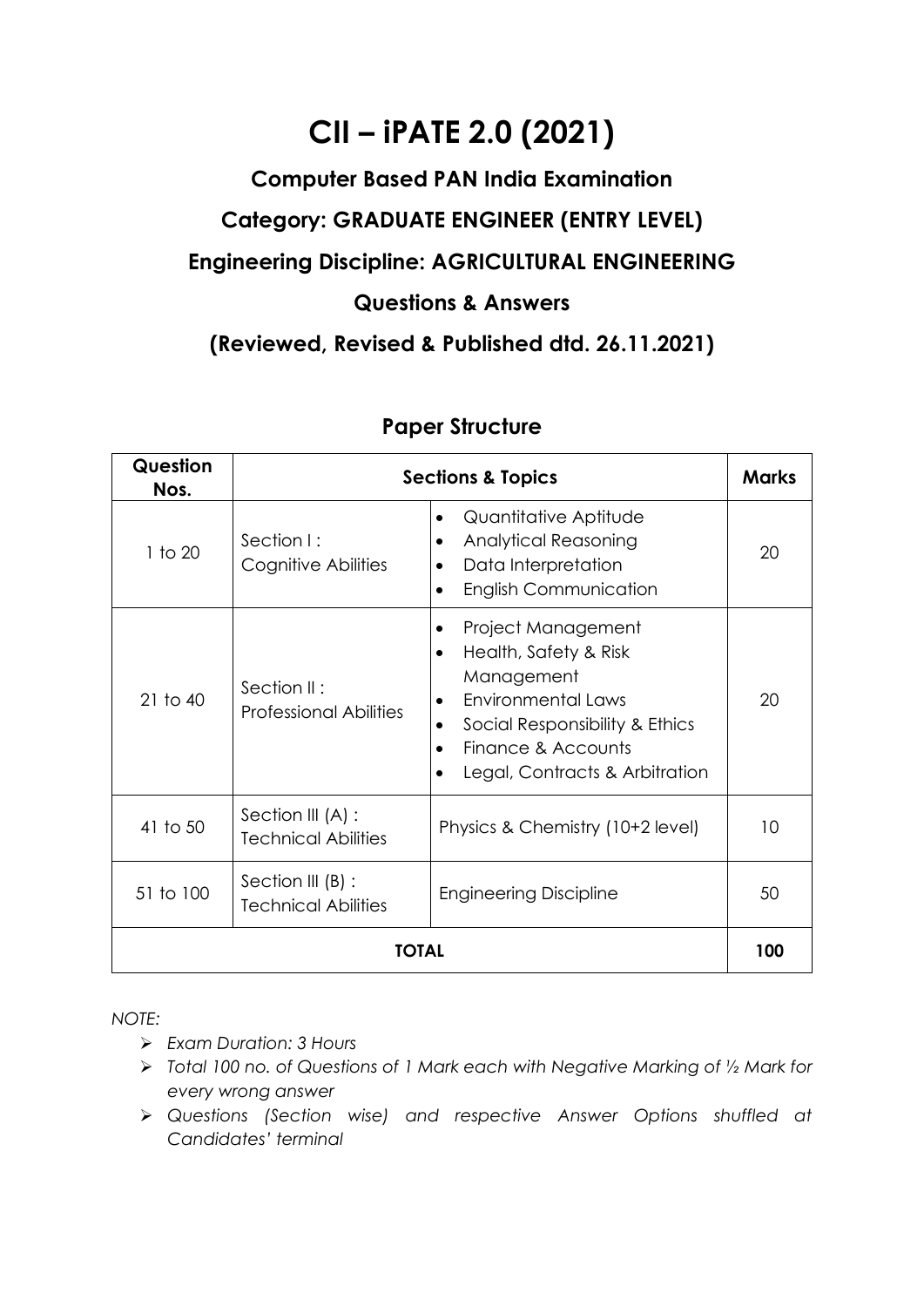# **CII – iPATE 2.0 (2021)**

## **Computer Based PAN India Examination Category: GRADUATE ENGINEER (ENTRY LEVEL)**

### **Engineering Discipline: AGRICULTURAL ENGINEERING**

#### **Questions & Answers**

**(Reviewed, Revised & Published dtd. 26.11.2021)**

| Question<br>Nos. | <b>Sections &amp; Topics</b>                    |                                                                                                                                                                                                     |    |  |
|------------------|-------------------------------------------------|-----------------------------------------------------------------------------------------------------------------------------------------------------------------------------------------------------|----|--|
| 1 to 20          | Section I:<br>Cognitive Abilities               | Quantitative Aptitude<br>$\bullet$<br><b>Analytical Reasoning</b><br>٠<br>Data Interpretation<br><b>English Communication</b>                                                                       | 20 |  |
| $21$ to $40$     | Section II:<br><b>Professional Abilities</b>    | Project Management<br>Health, Safety & Risk<br>$\bullet$<br>Management<br>Environmental Laws<br>$\bullet$<br>Social Responsibility & Ethics<br>Finance & Accounts<br>Legal, Contracts & Arbitration | 20 |  |
| 41 to 50         | Section III (A) :<br><b>Technical Abilities</b> | Physics & Chemistry (10+2 level)                                                                                                                                                                    | 10 |  |
| 51 to 100        | Section III (B) :<br><b>Technical Abilities</b> | <b>Engineering Discipline</b>                                                                                                                                                                       | 50 |  |
| TOTAL            |                                                 |                                                                                                                                                                                                     |    |  |

### **Paper Structure**

*NOTE:*

- ➢ *Exam Duration: 3 Hours*
- ➢ *Total 100 no. of Questions of 1 Mark each with Negative Marking of ½ Mark for every wrong answer*
- ➢ *Questions (Section wise) and respective Answer Options shuffled at Candidates' terminal*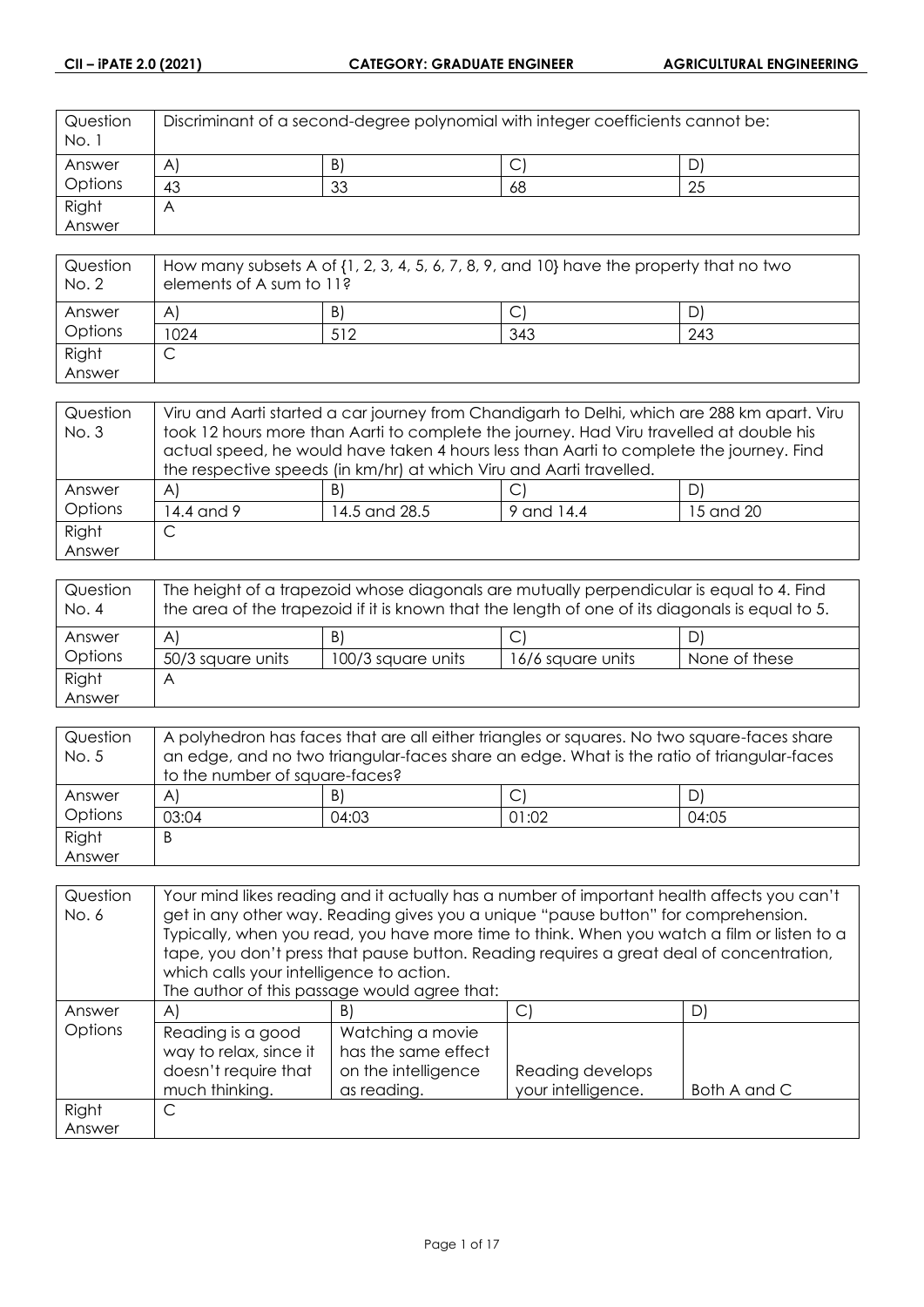| Question<br>No. 1 | Discriminant of a second-degree polynomial with integer coefficients cannot be: |    |    |    |
|-------------------|---------------------------------------------------------------------------------|----|----|----|
| Answer            | $\mathsf{A}$                                                                    | B) | ◡  | D  |
| Options           | 43                                                                              | 33 | 68 | 25 |
| Right             | $\bigwedge$                                                                     |    |    |    |
| Answer            |                                                                                 |    |    |    |

| Question<br>No. 2 | How many subsets A of $\{1, 2, 3, 4, 5, 6, 7, 8, 9,$ and $10\}$ have the property that no two<br>elements of A sum to 11? |     |     |     |
|-------------------|---------------------------------------------------------------------------------------------------------------------------|-----|-----|-----|
| Answer            | A                                                                                                                         | B)  |     |     |
| Options           | 1024                                                                                                                      | 512 | 343 | 243 |
| Right             | ◡                                                                                                                         |     |     |     |
| Answer            |                                                                                                                           |     |     |     |

| Question     | Viru and Aarti started a car journey from Chandigarh to Delhi, which are 288 km apart. Viru |                                                                                         |  |    |  |
|--------------|---------------------------------------------------------------------------------------------|-----------------------------------------------------------------------------------------|--|----|--|
| <b>No. 3</b> | took 12 hours more than Aarti to complete the journey. Had Viru travelled at double his     |                                                                                         |  |    |  |
|              |                                                                                             | actual speed, he would have taken 4 hours less than Aarti to complete the journey. Find |  |    |  |
|              | the respective speeds (in km/hr) at which Viru and Aarti travelled.                         |                                                                                         |  |    |  |
| Answer       | $\mathsf{A}$                                                                                | B)                                                                                      |  | DI |  |
| Options      | 14.4 and 9<br>14.5 and 28.5<br>9 and 14.4<br>15 and 20                                      |                                                                                         |  |    |  |
| Right        |                                                                                             |                                                                                         |  |    |  |
| Answer       |                                                                                             |                                                                                         |  |    |  |

| Question<br>No. 4 | The height of a trapezoid whose diagonals are mutually perpendicular is equal to 4. Find<br>the area of the trapezoid if it is known that the length of one of its diagonals is equal to 5. |                    |                   |               |
|-------------------|---------------------------------------------------------------------------------------------------------------------------------------------------------------------------------------------|--------------------|-------------------|---------------|
| Answer            | $\mathsf{A}$                                                                                                                                                                                | B)                 |                   | DI            |
| Options           | 50/3 square units                                                                                                                                                                           | 100/3 square units | 16/6 square units | None of these |
| Right             | A                                                                                                                                                                                           |                    |                   |               |
| Answer            |                                                                                                                                                                                             |                    |                   |               |

| Question | A polyhedron has faces that are all either triangles or squares. No two square-faces share |       |       |       |
|----------|--------------------------------------------------------------------------------------------|-------|-------|-------|
| No. 5    | an edge, and no two triangular-faces share an edge. What is the ratio of triangular-faces  |       |       |       |
|          | to the number of square-faces?                                                             |       |       |       |
| Answer   | $\mathsf{A}$                                                                               | B)    |       | D)    |
| Options  | 03:04                                                                                      | 04:03 | 01:02 | 04:05 |
| Right    | B                                                                                          |       |       |       |
| Answer   |                                                                                            |       |       |       |

| Question | Your mind likes reading and it actually has a number of important health affects you can't |                                                                                             |                    |              |
|----------|--------------------------------------------------------------------------------------------|---------------------------------------------------------------------------------------------|--------------------|--------------|
| No. 6    | get in any other way. Reading gives you a unique "pause button" for comprehension.         |                                                                                             |                    |              |
|          |                                                                                            | Typically, when you read, you have more time to think. When you watch a film or listen to a |                    |              |
|          |                                                                                            | tape, you don't press that pause button. Reading requires a great deal of concentration,    |                    |              |
|          | which calls your intelligence to action.                                                   |                                                                                             |                    |              |
|          |                                                                                            | The author of this passage would agree that:                                                |                    |              |
| Answer   | $\mathsf{A}$                                                                               | B)                                                                                          | C)                 | D)           |
| Options  | Reading is a good                                                                          | Watching a movie                                                                            |                    |              |
|          | way to relax, since it                                                                     | has the same effect                                                                         |                    |              |
|          | doesn't require that                                                                       | on the intelligence                                                                         | Reading develops   |              |
|          | much thinking.                                                                             | as reading.                                                                                 | your intelligence. | Both A and C |
| Right    | C                                                                                          |                                                                                             |                    |              |
| Answer   |                                                                                            |                                                                                             |                    |              |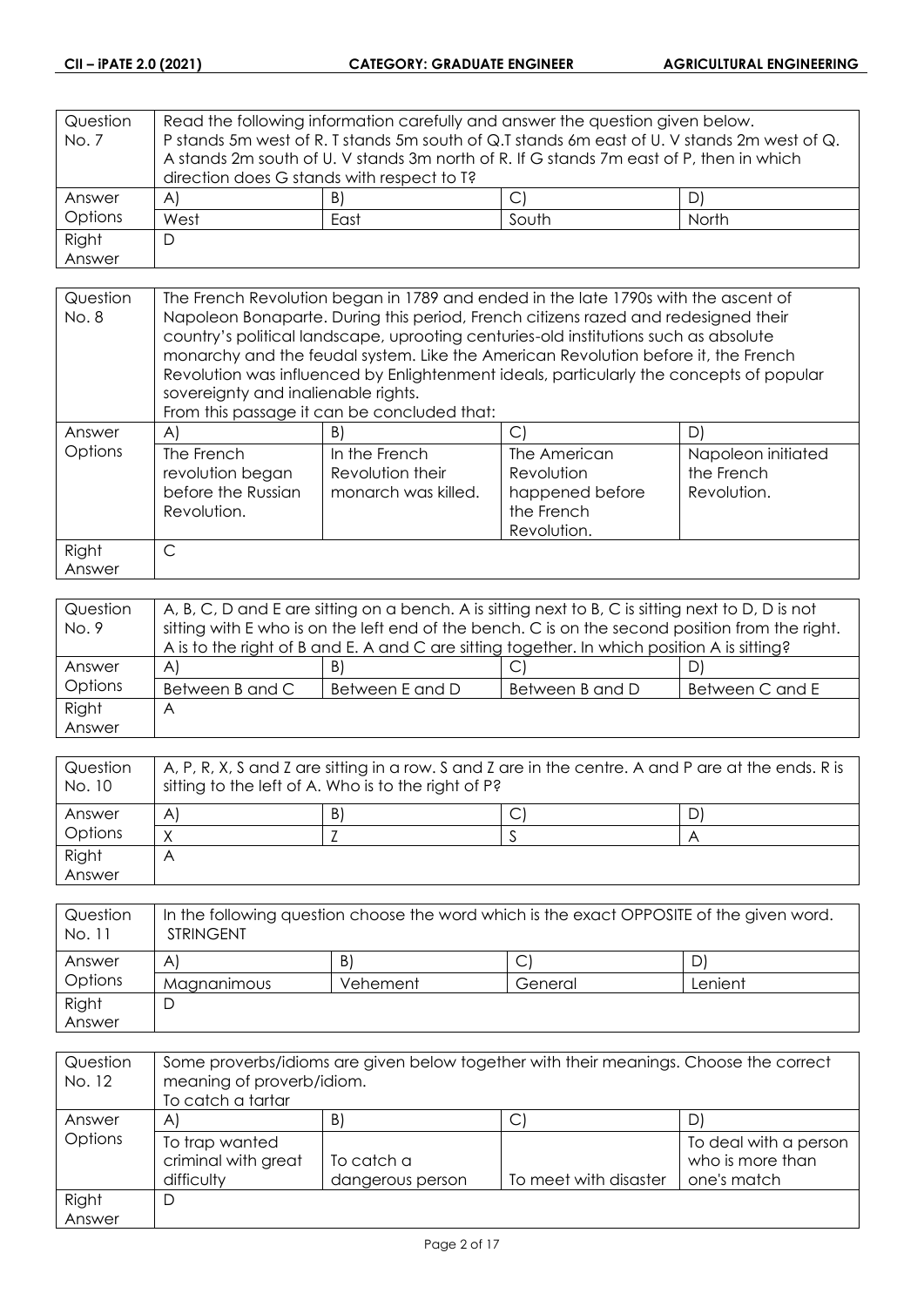| Question       | Read the following information carefully and answer the question given below. |                                                                                             |       |       |
|----------------|-------------------------------------------------------------------------------|---------------------------------------------------------------------------------------------|-------|-------|
| No. 7          |                                                                               | P stands 5m west of R. T stands 5m south of Q.T stands 6m east of U. V stands 2m west of Q. |       |       |
|                |                                                                               | A stands 2m south of U. V stands 3m north of R. If G stands 7m east of P, then in which     |       |       |
|                | direction does G stands with respect to T?                                    |                                                                                             |       |       |
| Answer         | A)                                                                            | B)                                                                                          |       | D)    |
| <b>Options</b> | West                                                                          | East                                                                                        | South | North |
| Right          | D                                                                             |                                                                                             |       |       |
| Answer         |                                                                               |                                                                                             |       |       |

| Question<br>No. 8 | The French Revolution began in 1789 and ended in the late 1790s with the ascent of<br>Napoleon Bonaparte. During this period, French citizens razed and redesigned their<br>country's political landscape, uprooting centuries-old institutions such as absolute<br>monarchy and the feudal system. Like the American Revolution before it, the French<br>Revolution was influenced by Enlightenment ideals, particularly the concepts of popular<br>sovereignty and inalienable rights.<br>From this passage it can be concluded that: |                                                          |                                                                            |                                                 |
|-------------------|-----------------------------------------------------------------------------------------------------------------------------------------------------------------------------------------------------------------------------------------------------------------------------------------------------------------------------------------------------------------------------------------------------------------------------------------------------------------------------------------------------------------------------------------|----------------------------------------------------------|----------------------------------------------------------------------------|-------------------------------------------------|
| Answer            | $\forall$                                                                                                                                                                                                                                                                                                                                                                                                                                                                                                                               | B)                                                       | $\mathsf{C}$                                                               | D)                                              |
| Options           | The French<br>revolution began<br>before the Russian<br>Revolution.                                                                                                                                                                                                                                                                                                                                                                                                                                                                     | In the French<br>Revolution their<br>monarch was killed. | The American<br>Revolution<br>happened before<br>the French<br>Revolution. | Napoleon initiated<br>the French<br>Revolution. |
| Right             | $\subset$                                                                                                                                                                                                                                                                                                                                                                                                                                                                                                                               |                                                          |                                                                            |                                                 |
| Answer            |                                                                                                                                                                                                                                                                                                                                                                                                                                                                                                                                         |                                                          |                                                                            |                                                 |

| Question | A, B, C, D and E are sitting on a bench. A is sitting next to B, C is sitting next to D, D is not |                 |                 |                 |
|----------|---------------------------------------------------------------------------------------------------|-----------------|-----------------|-----------------|
| No. 9    | sitting with E who is on the left end of the bench. C is on the second position from the right.   |                 |                 |                 |
|          | A is to the right of B and E. A and C are sitting together. In which position A is sitting?       |                 |                 |                 |
| Answer   | $\forall$                                                                                         | B)              | ◡               | D)              |
| Options  | Between B and C                                                                                   | Between E and D | Between B and D | Between C and E |
| Right    | A                                                                                                 |                 |                 |                 |
| Answer   |                                                                                                   |                 |                 |                 |

| Question<br>No. 10 | $\mid$ A, P, R, X, S and Z are sitting in a row. S and Z are in the centre. A and P are at the ends. R is<br>sitting to the left of A. Who is to the right of P? |    |  |   |
|--------------------|------------------------------------------------------------------------------------------------------------------------------------------------------------------|----|--|---|
| Answer             | A                                                                                                                                                                | B) |  | D |
| Options            |                                                                                                                                                                  |    |  |   |
| Right              | Α                                                                                                                                                                |    |  |   |
| Answer             |                                                                                                                                                                  |    |  |   |

| Question<br>No. 11 | In the following question choose the word which is the exact OPPOSITE of the given word.<br><b>STRINGENT</b> |          |         |         |
|--------------------|--------------------------------------------------------------------------------------------------------------|----------|---------|---------|
| Answer             | A                                                                                                            | B)       |         |         |
| Options            | Magnanimous                                                                                                  | Vehement | General | Lenient |
| Right              |                                                                                                              |          |         |         |
| Answer             |                                                                                                              |          |         |         |

| Question<br>No. 12 | Some proverbs/idioms are given below together with their meanings. Choose the correct<br>meaning of proverb/idiom.<br>To catch a tartar |                  |                       |                                           |
|--------------------|-----------------------------------------------------------------------------------------------------------------------------------------|------------------|-----------------------|-------------------------------------------|
| Answer             | A                                                                                                                                       | B)               | ◡                     | D)                                        |
| Options            | To trap wanted<br>criminal with great                                                                                                   | To catch a       |                       | To deal with a person<br>who is more than |
|                    | difficulty                                                                                                                              | dangerous person | To meet with disaster | one's match                               |
| Right              | D                                                                                                                                       |                  |                       |                                           |
| Answer             |                                                                                                                                         |                  |                       |                                           |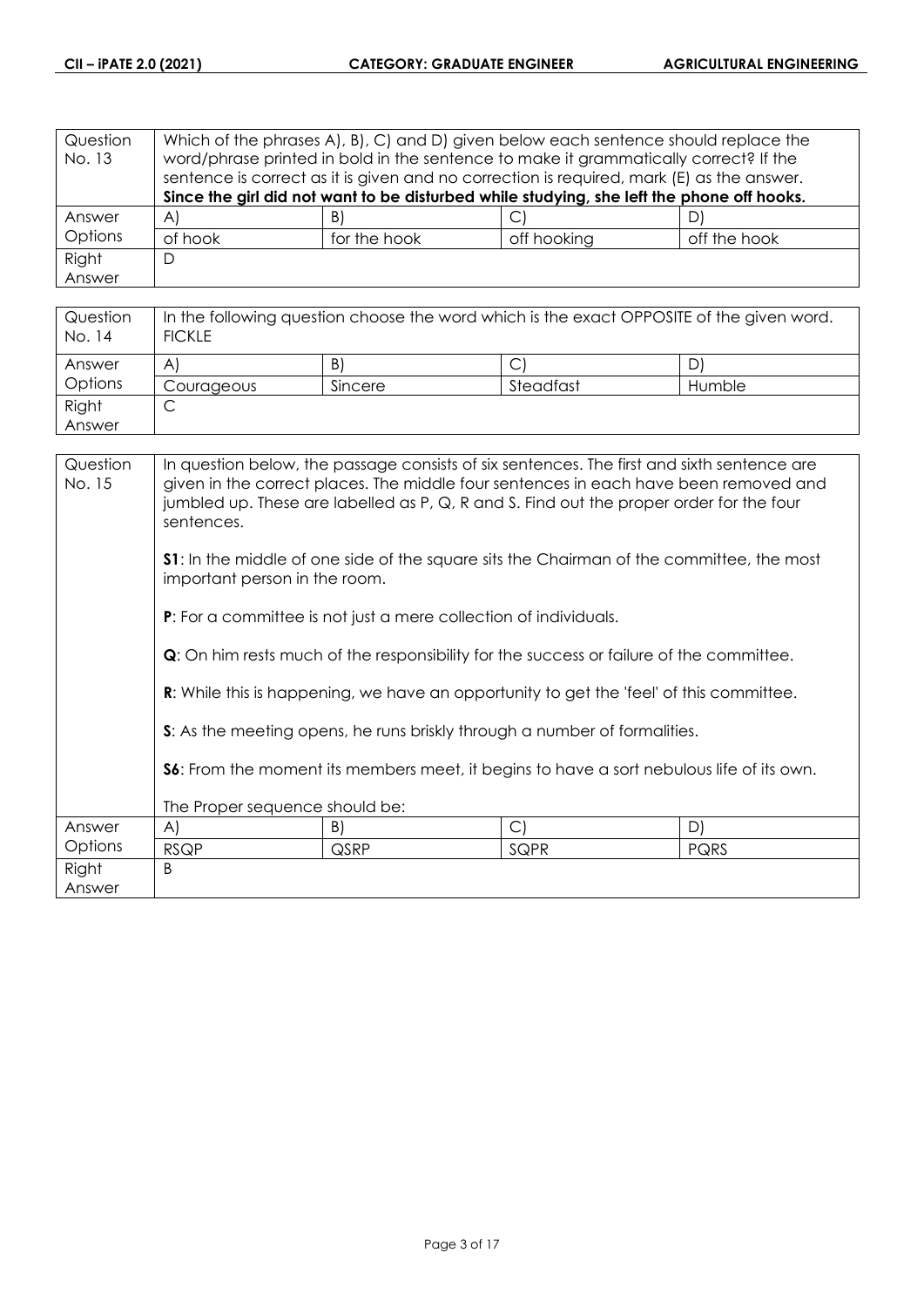| Question<br>No. 13 | Which of the phrases A, B, C and D, given below each sentence should replace the<br>word/phrase printed in bold in the sentence to make it grammatically correct? If the<br>sentence is correct as it is given and no correction is required, mark (E) as the answer. |              |                                                                                           |              |
|--------------------|-----------------------------------------------------------------------------------------------------------------------------------------------------------------------------------------------------------------------------------------------------------------------|--------------|-------------------------------------------------------------------------------------------|--------------|
|                    |                                                                                                                                                                                                                                                                       |              | Since the girl did not want to be disturbed while studying, she left the phone off hooks. |              |
| Answer             | $\forall$                                                                                                                                                                                                                                                             | B)           | С                                                                                         |              |
| Options            | of hook                                                                                                                                                                                                                                                               | for the hook | off hooking                                                                               | off the hook |
| Right              | D                                                                                                                                                                                                                                                                     |              |                                                                                           |              |
| Answer             |                                                                                                                                                                                                                                                                       |              |                                                                                           |              |

| Question<br>No. 14 | In the following question choose the word which is the exact OPPOSITE of the given word.<br><b>FICKLE</b> |         |           |        |
|--------------------|-----------------------------------------------------------------------------------------------------------|---------|-----------|--------|
| Answer             | A                                                                                                         | B)      |           | D      |
| Options            | Courageous                                                                                                | Sincere | Steadfast | Humble |
| Right              | ◡                                                                                                         |         |           |        |
| Answer             |                                                                                                           |         |           |        |

| Question<br>No. 15 | In question below, the passage consists of six sentences. The first and sixth sentence are<br>given in the correct places. The middle four sentences in each have been removed and<br>jumbled up. These are labelled as P, Q, R and S. Find out the proper order for the four<br>sentences. |      |                                                                                                |             |
|--------------------|---------------------------------------------------------------------------------------------------------------------------------------------------------------------------------------------------------------------------------------------------------------------------------------------|------|------------------------------------------------------------------------------------------------|-------------|
|                    | <b>S1:</b> In the middle of one side of the square sits the Chairman of the committee, the most<br>important person in the room.                                                                                                                                                            |      |                                                                                                |             |
|                    | <b>P:</b> For a committee is not just a mere collection of individuals.                                                                                                                                                                                                                     |      |                                                                                                |             |
|                    | <b>Q</b> : On him rests much of the responsibility for the success or failure of the committee.                                                                                                                                                                                             |      |                                                                                                |             |
|                    |                                                                                                                                                                                                                                                                                             |      | <b>R:</b> While this is happening, we have an opportunity to get the 'feel' of this committee. |             |
|                    |                                                                                                                                                                                                                                                                                             |      | S: As the meeting opens, he runs briskly through a number of formalities.                      |             |
|                    | <b>S6:</b> From the moment its members meet, it begins to have a sort nebulous life of its own.                                                                                                                                                                                             |      |                                                                                                |             |
|                    | The Proper sequence should be:                                                                                                                                                                                                                                                              |      |                                                                                                |             |
| Answer             | A)                                                                                                                                                                                                                                                                                          | B)   | $\mathcal{C}$                                                                                  | D)          |
| Options            | <b>RSQP</b>                                                                                                                                                                                                                                                                                 | QSRP | SQPR                                                                                           | <b>PQRS</b> |
| Right              | <sub>B</sub>                                                                                                                                                                                                                                                                                |      |                                                                                                |             |
| Answer             |                                                                                                                                                                                                                                                                                             |      |                                                                                                |             |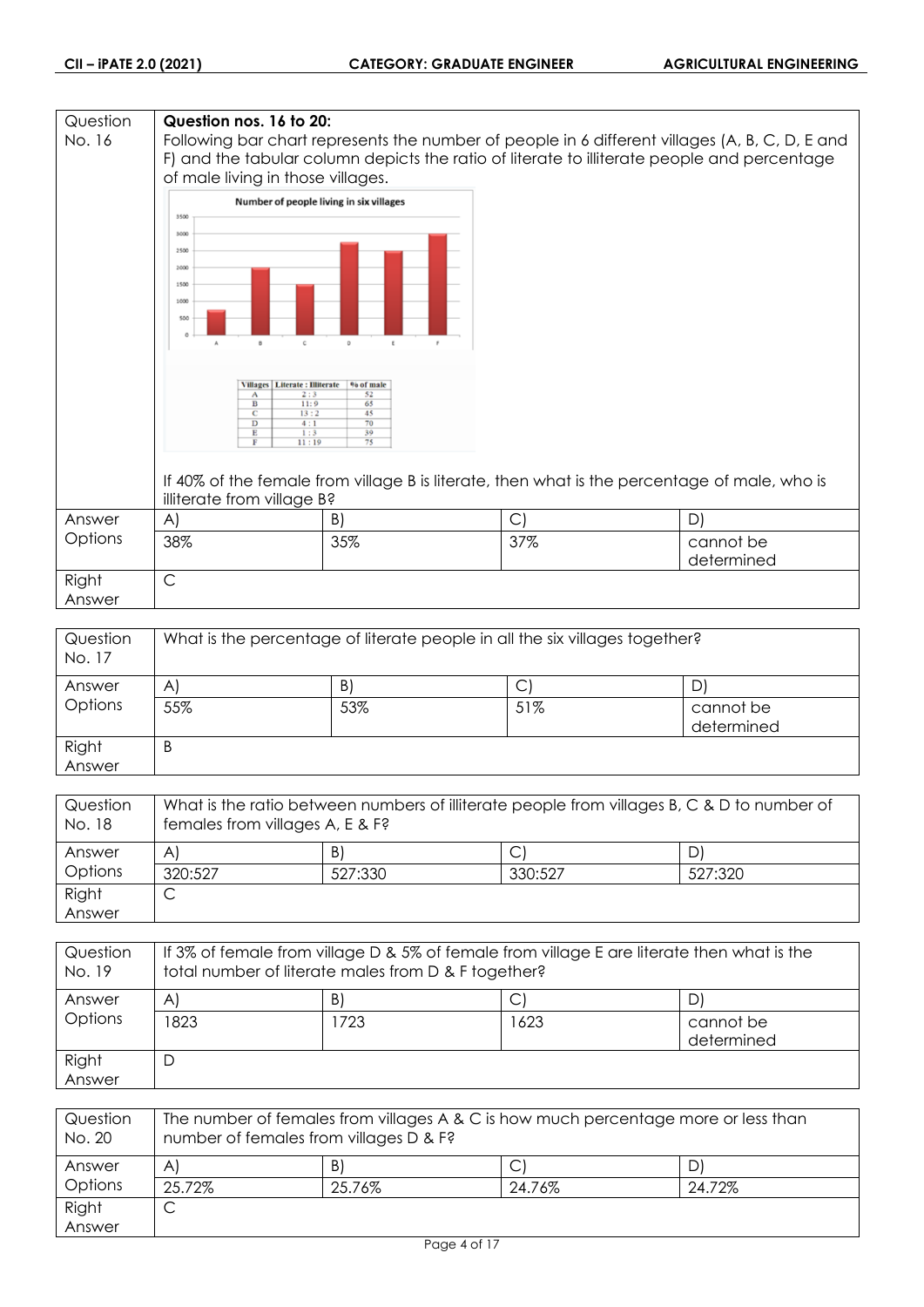#### **Question Question nos. 16 to 20:** No. 16 Following bar chart represents the number of people in 6 different villages (A, B, C, D, E and F) and the tabular column depicts the ratio of literate to illiterate people and percentage of male living in those villages. Number of people living in six villages 3500 3000 2500 2000 1500  $1000$ 50 Villages | Literate : Illiterate | % of male Ť  $\frac{1}{13}$  $\overline{11}$ If 40% of the female from village B is literate, then what is the percentage of male, who is illiterate from village B? Answer A)  $|B|$   $|C|$   $|D|$ **Options** 38% 35% 37% cannot be determined Right C Answer

| Question<br>No. 17 | What is the percentage of literate people in all the six villages together? |     |     |                         |
|--------------------|-----------------------------------------------------------------------------|-----|-----|-------------------------|
| Answer             | AI                                                                          | B)  | C   | D                       |
| Options            | 55%                                                                         | 53% | 51% | cannot be<br>determined |
| Right<br>Answer    | B                                                                           |     |     |                         |

| Question<br>No. 18 | What is the ratio between numbers of illiterate people from villages B, C & D to number of<br>females from villages A, E & F? |         |         |         |
|--------------------|-------------------------------------------------------------------------------------------------------------------------------|---------|---------|---------|
| Answer             | $\mathsf{A}$                                                                                                                  | B)      |         | D,      |
| Options            | 320:527                                                                                                                       | 527:330 | 330:527 | 527:320 |
| Right              |                                                                                                                               |         |         |         |
| Answer             |                                                                                                                               |         |         |         |

| Question<br>No. 19 | If 3% of female from village D & 5% of female from village E are literate then what is the<br>total number of literate males from D & F together? |     |      |                         |
|--------------------|---------------------------------------------------------------------------------------------------------------------------------------------------|-----|------|-------------------------|
| Answer             | A                                                                                                                                                 | B)  |      | D,                      |
| Options            | 1823                                                                                                                                              | 723 | 1623 | cannot be<br>determined |
| Right<br>Answer    | D                                                                                                                                                 |     |      |                         |

| Question<br>No. 20 | The number of females from villages A & C is how much percentage more or less than<br>number of females from villages D & F? |        |        |        |
|--------------------|------------------------------------------------------------------------------------------------------------------------------|--------|--------|--------|
| Answer             | $\mathsf{A}$                                                                                                                 | B)     |        |        |
| Options            | 25.72%                                                                                                                       | 25.76% | 24.76% | 24.72% |
| Right              | ٮ                                                                                                                            |        |        |        |
| Answer             |                                                                                                                              |        |        |        |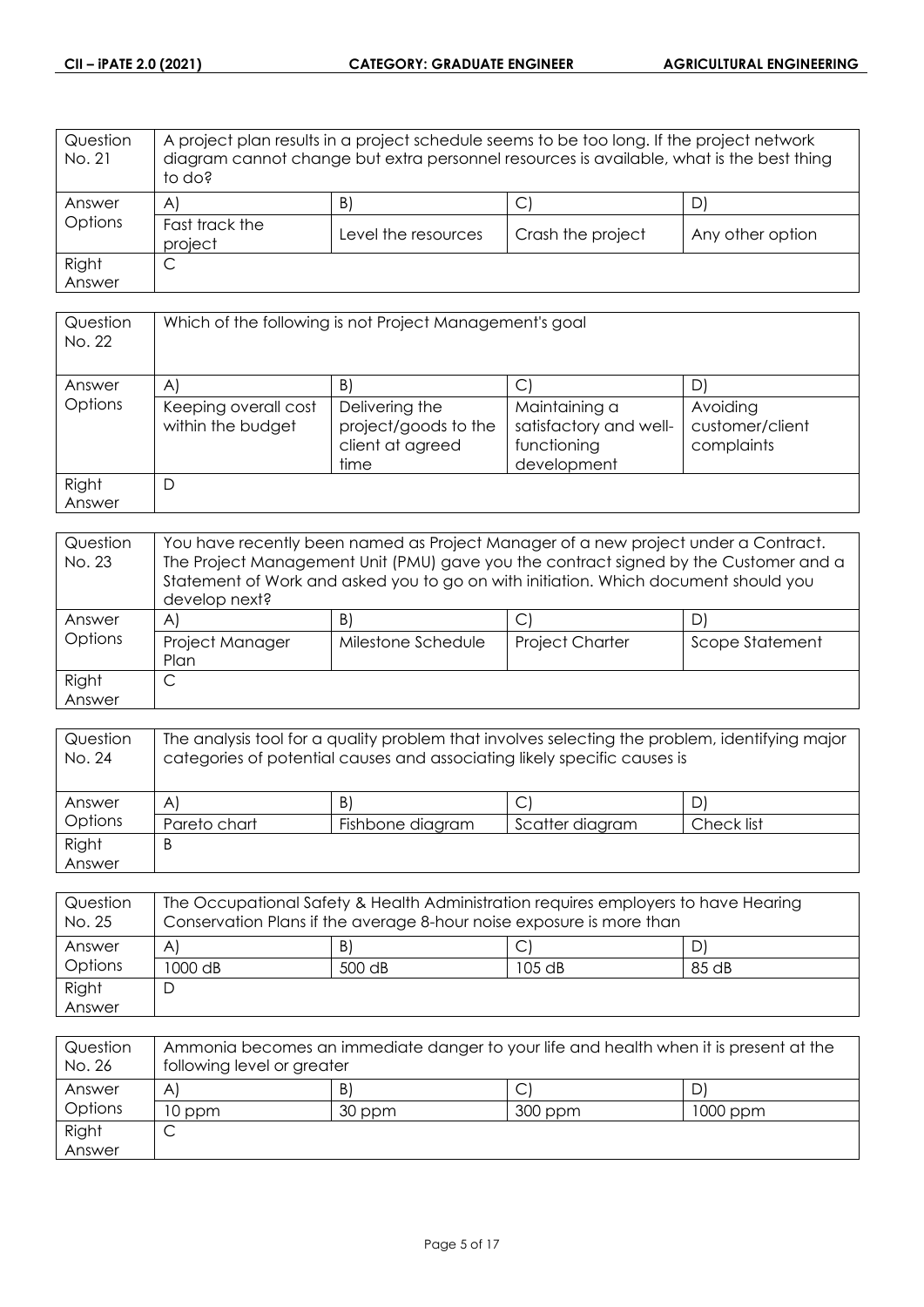| Question<br>No. 21 | A project plan results in a project schedule seems to be too long. If the project network<br>diagram cannot change but extra personnel resources is available, what is the best thing<br>to do? |                     |                   |                  |
|--------------------|-------------------------------------------------------------------------------------------------------------------------------------------------------------------------------------------------|---------------------|-------------------|------------------|
| Answer             | $\mathsf{A}$                                                                                                                                                                                    | B)                  | J                 |                  |
| Options            | Fast track the<br>project                                                                                                                                                                       | Level the resources | Crash the project | Any other option |
| Right              | С                                                                                                                                                                                               |                     |                   |                  |
| Answer             |                                                                                                                                                                                                 |                     |                   |                  |

| Question<br>No. 22 | Which of the following is not Project Management's goal |                                                                    |                                                                       |                                           |
|--------------------|---------------------------------------------------------|--------------------------------------------------------------------|-----------------------------------------------------------------------|-------------------------------------------|
| Answer             | A                                                       | B                                                                  | С                                                                     |                                           |
| Options            | Keeping overall cost<br>within the budget               | Delivering the<br>project/goods to the<br>client at agreed<br>time | Maintaining a<br>satisfactory and well-<br>functioning<br>development | Avoiding<br>customer/client<br>complaints |
| Right<br>Answer    | D                                                       |                                                                    |                                                                       |                                           |

| Question<br>No. 23 | You have recently been named as Project Manager of a new project under a Contract.<br>The Project Management Unit (PMU) gave you the contract signed by the Customer and a<br>Statement of Work and asked you to go on with initiation. Which document should you<br>develop next? |                    |                        |                 |
|--------------------|------------------------------------------------------------------------------------------------------------------------------------------------------------------------------------------------------------------------------------------------------------------------------------|--------------------|------------------------|-----------------|
| Answer             | A                                                                                                                                                                                                                                                                                  | B)                 | C                      | D               |
| Options            | Project Manager<br>Plan                                                                                                                                                                                                                                                            | Milestone Schedule | <b>Project Charter</b> | Scope Statement |
| Right              |                                                                                                                                                                                                                                                                                    |                    |                        |                 |
| Answer             |                                                                                                                                                                                                                                                                                    |                    |                        |                 |

| Question<br>No. 24 | The analysis tool for a quality problem that involves selecting the problem, identifying major<br>categories of potential causes and associating likely specific causes is |                  |                 |            |
|--------------------|----------------------------------------------------------------------------------------------------------------------------------------------------------------------------|------------------|-----------------|------------|
| Answer             | $\mathsf{A}$                                                                                                                                                               | B)               |                 |            |
| Options            | Pareto chart                                                                                                                                                               | Fishbone diagram | Scatter diagram | Check list |
| Right              | B                                                                                                                                                                          |                  |                 |            |
| Answer             |                                                                                                                                                                            |                  |                 |            |

| Question<br>No. 25 | The Occupational Safety & Health Administration requires employers to have Hearing<br>Conservation Plans if the average 8-hour noise exposure is more than |        |          |       |
|--------------------|------------------------------------------------------------------------------------------------------------------------------------------------------------|--------|----------|-------|
| Answer             | A                                                                                                                                                          | B)     |          |       |
| Options            | 1000 dB                                                                                                                                                    | 500 dB | $105$ dB | 85 dB |
| Right              |                                                                                                                                                            |        |          |       |
| Answer             |                                                                                                                                                            |        |          |       |

| Question<br>No. 26 | Ammonia becomes an immediate danger to your life and health when it is present at the<br>following level or greater |        |         |          |
|--------------------|---------------------------------------------------------------------------------------------------------------------|--------|---------|----------|
| Answer             | A                                                                                                                   | B.     |         |          |
| Options            | 10 ppm                                                                                                              | 30 ppm | 300 ppm | 1000 ppm |
| Right              |                                                                                                                     |        |         |          |
| Answer             |                                                                                                                     |        |         |          |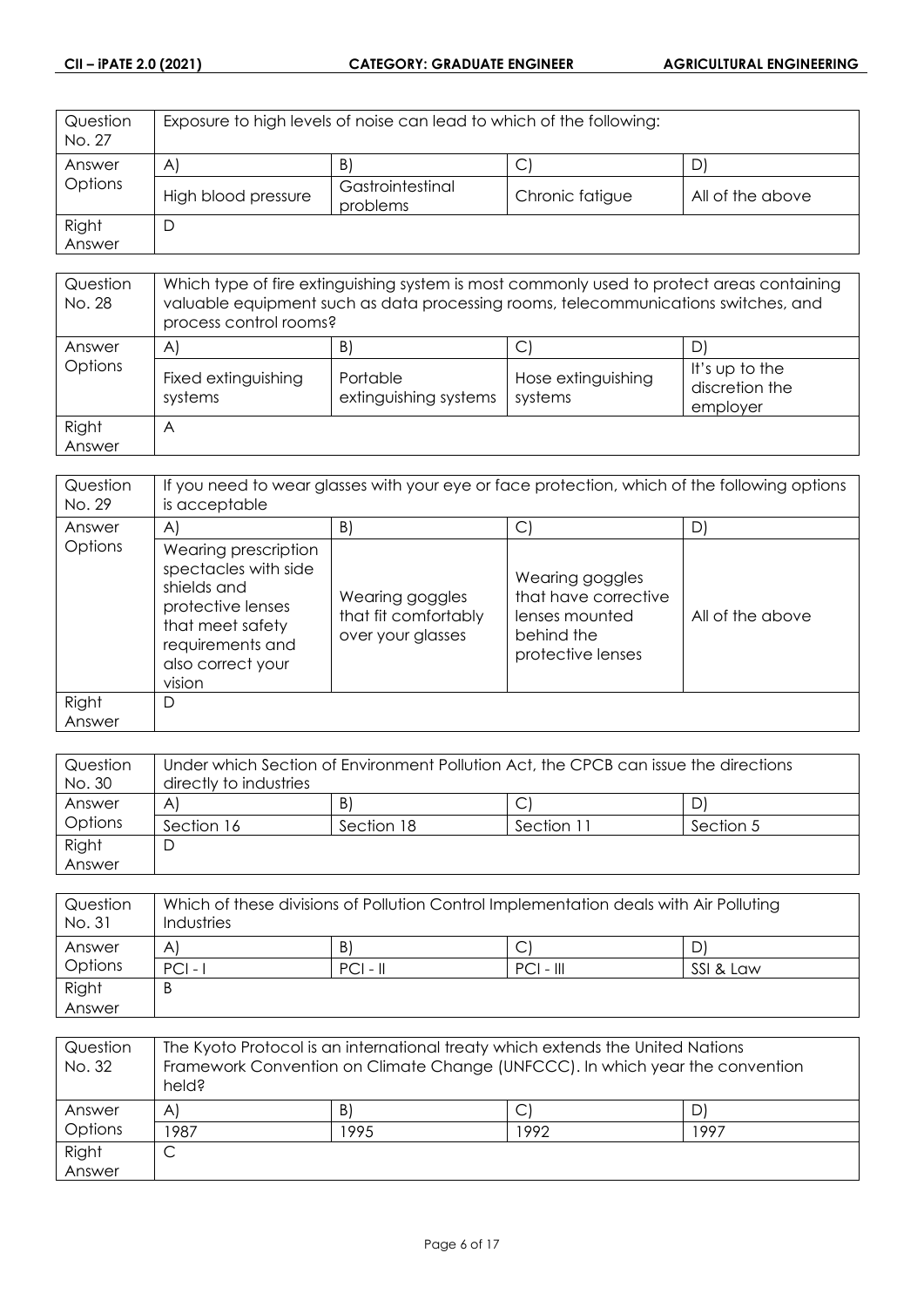| Question<br>No. 27 | Exposure to high levels of noise can lead to which of the following: |                              |                 |                  |
|--------------------|----------------------------------------------------------------------|------------------------------|-----------------|------------------|
| Answer             | $\mathsf{A}$                                                         | B)                           | U               |                  |
| Options            | High blood pressure                                                  | Gastrointestinal<br>problems | Chronic fatigue | All of the above |
| Right              |                                                                      |                              |                 |                  |
| Answer             |                                                                      |                              |                 |                  |

| Question<br>No. 28 | Which type of fire extinguishing system is most commonly used to protect areas containing<br>valuable equipment such as data processing rooms, telecommunications switches, and<br>process control rooms? |                                         |                                    |                                              |
|--------------------|-----------------------------------------------------------------------------------------------------------------------------------------------------------------------------------------------------------|-----------------------------------------|------------------------------------|----------------------------------------------|
| Answer<br>Options  | $\mathsf{A}$<br>Fixed extinguishing<br>systems                                                                                                                                                            | B'<br>Portable<br>extinguishing systems | С<br>Hose extinguishing<br>systems | It's up to the<br>discretion the<br>employer |
| Right<br>Answer    | A                                                                                                                                                                                                         |                                         |                                    |                                              |

| Question<br>No. 29 | If you need to wear glasses with your eye or face protection, which of the following options<br>is acceptable                                           |                                                              |                                                                                              |                  |
|--------------------|---------------------------------------------------------------------------------------------------------------------------------------------------------|--------------------------------------------------------------|----------------------------------------------------------------------------------------------|------------------|
| Answer             | $\mathsf{A}$                                                                                                                                            | B)                                                           | С                                                                                            | D                |
| Options            | Wearing prescription<br>spectacles with side<br>shields and<br>protective lenses<br>that meet safety<br>requirements and<br>also correct your<br>vision | Wearing goggles<br>that fit comfortably<br>over your glasses | Wearing goggles<br>that have corrective<br>lenses mounted<br>behind the<br>protective lenses | All of the above |
| Right<br>Answer    | D                                                                                                                                                       |                                                              |                                                                                              |                  |

| Question | Under which Section of Environment Pollution Act, the CPCB can issue the directions |            |            |           |
|----------|-------------------------------------------------------------------------------------|------------|------------|-----------|
| No. 30   | directly to industries                                                              |            |            |           |
| Answer   | A                                                                                   | B)         |            | DI        |
| Options  | Section 16                                                                          | Section 18 | Section 11 | Section 5 |
| Right    | C                                                                                   |            |            |           |
| Answer   |                                                                                     |            |            |           |

| Question<br>No. 31 | Which of these divisions of Pollution Control Implementation deals with Air Polluting<br>Industries |            |             |           |
|--------------------|-----------------------------------------------------------------------------------------------------|------------|-------------|-----------|
| Answer             | A                                                                                                   | B)         |             |           |
| Options            | $PCI -$                                                                                             | $PCI - II$ | $PCI - III$ | SSI & Law |
| Right              | B                                                                                                   |            |             |           |
| Answer             |                                                                                                     |            |             |           |

| Question<br>No. 32 | The Kyoto Protocol is an international treaty which extends the United Nations<br>Framework Convention on Climate Change (UNFCCC). In which year the convention<br>held? |      |      |      |
|--------------------|--------------------------------------------------------------------------------------------------------------------------------------------------------------------------|------|------|------|
| Answer             | $\mathsf{A}^{\mathsf{c}}$                                                                                                                                                | B)   |      |      |
| Options            | 1987                                                                                                                                                                     | 1995 | 1992 | 1997 |
| Right              | C                                                                                                                                                                        |      |      |      |
| Answer             |                                                                                                                                                                          |      |      |      |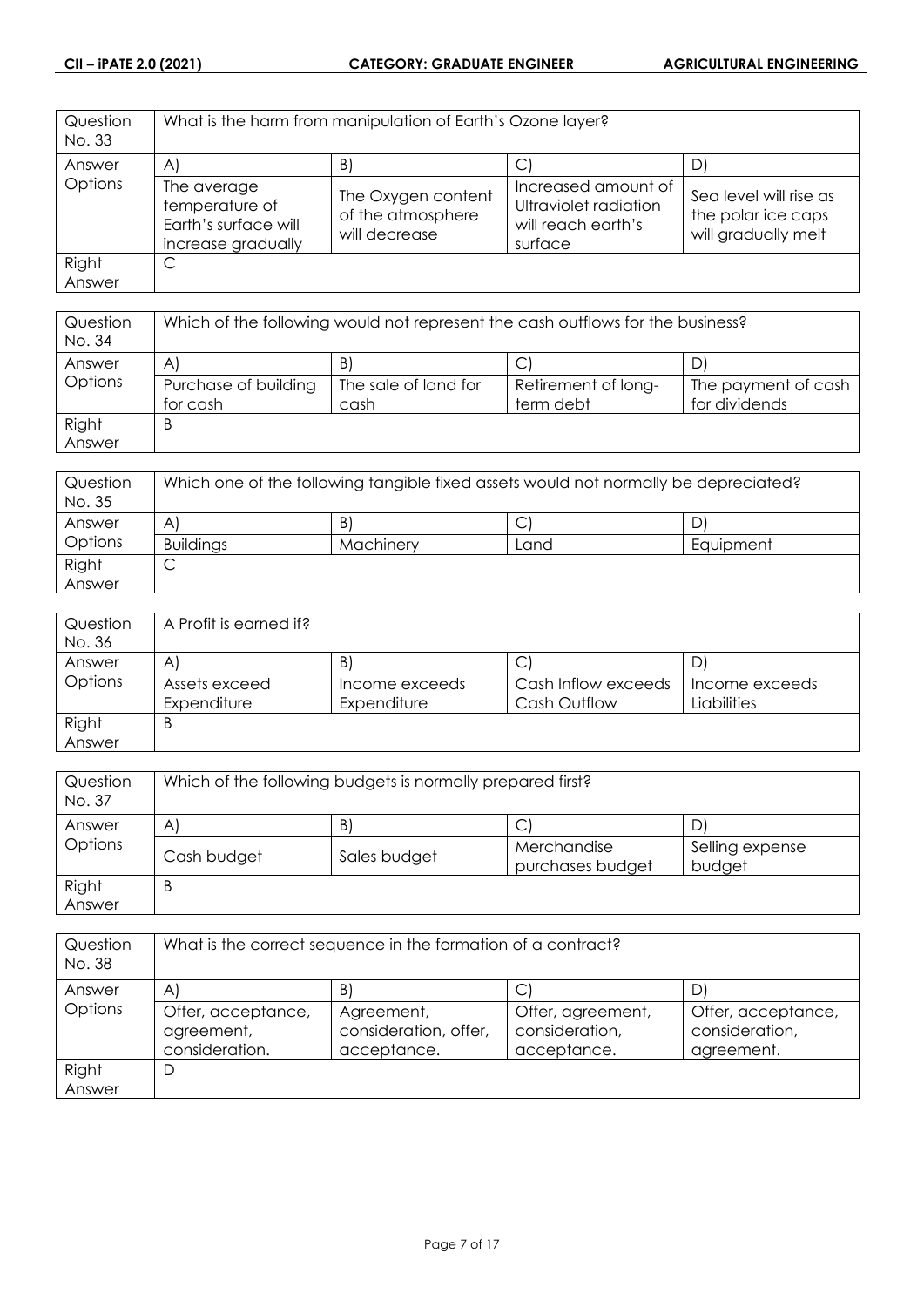| Question<br>No. 33 |                                                                             | What is the harm from manipulation of Earth's Ozone layer? |                                                                               |                                                                     |
|--------------------|-----------------------------------------------------------------------------|------------------------------------------------------------|-------------------------------------------------------------------------------|---------------------------------------------------------------------|
| Answer             | A                                                                           | B                                                          |                                                                               |                                                                     |
| Options            | The average<br>temperature of<br>Earth's surface will<br>increase gradually | The Oxygen content<br>of the atmosphere<br>will decrease   | Increased amount of<br>Ultraviolet radiation<br>will reach earth's<br>surface | Sea level will rise as<br>the polar ice caps<br>will gradually melt |
| Right              | C                                                                           |                                                            |                                                                               |                                                                     |
| Answer             |                                                                             |                                                            |                                                                               |                                                                     |

| Question<br>No. 34 | Which of the following would not represent the cash outflows for the business? |                      |                     |                     |
|--------------------|--------------------------------------------------------------------------------|----------------------|---------------------|---------------------|
| Answer             | A                                                                              | B                    |                     |                     |
| Options            | Purchase of building                                                           | The sale of land for | Retirement of long- | The payment of cash |
|                    | for cash                                                                       | cash                 | term debt           | for dividends       |
| Right              | B                                                                              |                      |                     |                     |
| Answer             |                                                                                |                      |                     |                     |

| Question<br>No. 35 | Which one of the following tangible fixed assets would not normally be depreciated? |           |      |           |
|--------------------|-------------------------------------------------------------------------------------|-----------|------|-----------|
| Answer             | A                                                                                   | B.        | ◡    | D         |
| Options            | <b>Buildings</b>                                                                    | Machinery | Land | Equipment |
| Right              | ◡                                                                                   |           |      |           |
| Answer             |                                                                                     |           |      |           |

| Question | A Profit is earned if? |                |                     |                |
|----------|------------------------|----------------|---------------------|----------------|
| No. 36   |                        |                |                     |                |
| Answer   | A                      | B)             | Ć                   |                |
| Options  | Assets exceed          | Income exceeds | Cash Inflow exceeds | Income exceeds |
|          | Expenditure            | Expenditure    | <b>Cash Outflow</b> | Liabilities    |
| Right    | B                      |                |                     |                |
| Answer   |                        |                |                     |                |

| Question<br>No. 37 | Which of the following budgets is normally prepared first? |              |                                 |                           |
|--------------------|------------------------------------------------------------|--------------|---------------------------------|---------------------------|
| Answer             | B)<br>$\mathsf{A}$<br>D.<br>◡                              |              |                                 |                           |
| Options            | Cash budget                                                | Sales budget | Merchandise<br>purchases budget | Selling expense<br>budget |
| Right<br>Answer    | B                                                          |              |                                 |                           |

| Question<br>No. 38 | What is the correct sequence in the formation of a contract? |                                                    |                                                    |                                                    |
|--------------------|--------------------------------------------------------------|----------------------------------------------------|----------------------------------------------------|----------------------------------------------------|
| Answer             | A                                                            | B'                                                 |                                                    | D                                                  |
| Options            | Offer, acceptance,<br>agreement,<br>consideration.           | Agreement,<br>consideration, offer,<br>acceptance. | Offer, agreement,<br>consideration,<br>acceptance. | Offer, acceptance,<br>consideration,<br>agreement. |
| Right              | D                                                            |                                                    |                                                    |                                                    |
| Answer             |                                                              |                                                    |                                                    |                                                    |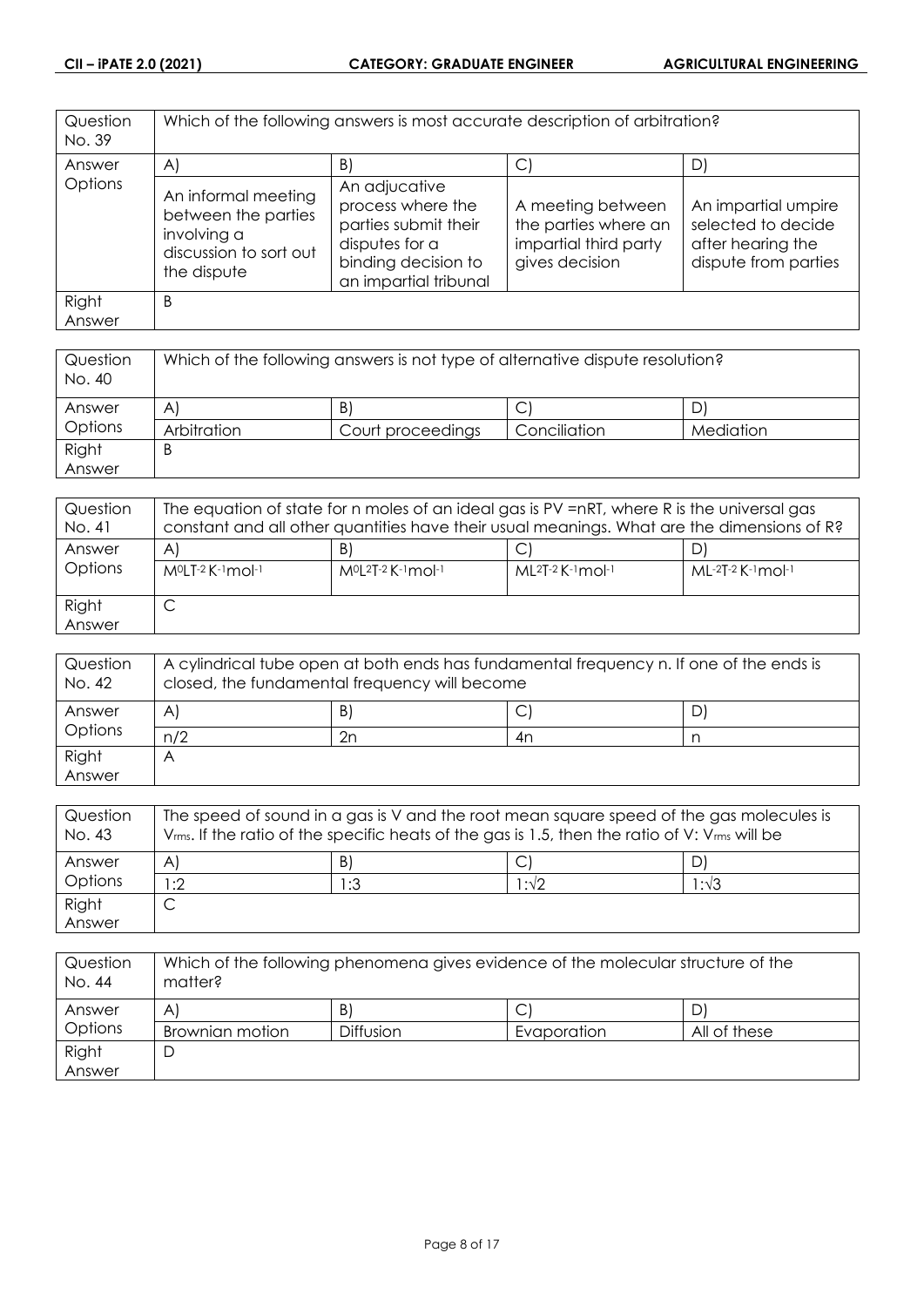| Question<br>No. 39 |                                                                                                    | Which of the following answers is most accurate description of arbitration?                                                  |                                                                                      |                                                                                        |
|--------------------|----------------------------------------------------------------------------------------------------|------------------------------------------------------------------------------------------------------------------------------|--------------------------------------------------------------------------------------|----------------------------------------------------------------------------------------|
| Answer             | $\mathsf{A}$                                                                                       | B)                                                                                                                           | C                                                                                    | D)                                                                                     |
| Options            | An informal meeting<br>between the parties<br>involving a<br>discussion to sort out<br>the dispute | An adjucative<br>process where the<br>parties submit their<br>disputes for a<br>binding decision to<br>an impartial tribunal | A meeting between<br>the parties where an<br>impartial third party<br>gives decision | An impartial umpire<br>selected to decide<br>after hearing the<br>dispute from parties |
| Right<br>Answer    | B                                                                                                  |                                                                                                                              |                                                                                      |                                                                                        |

| Question<br>No. 40 | Which of the following answers is not type of alternative dispute resolution? |                   |              |           |
|--------------------|-------------------------------------------------------------------------------|-------------------|--------------|-----------|
| Answer             | A                                                                             | B)                | ◡            |           |
| Options            | Arbitration                                                                   | Court proceedings | Conciliation | Mediation |
| Right              | B                                                                             |                   |              |           |
| Answer             |                                                                               |                   |              |           |

| Question<br>No. 41 | The equation of state for n moles of an ideal gas is PV =nRT, where R is the universal gas<br>constant and all other quantities have their usual meanings. What are the dimensions of R? |                                  |                             |                     |
|--------------------|------------------------------------------------------------------------------------------------------------------------------------------------------------------------------------------|----------------------------------|-----------------------------|---------------------|
| Answer<br>Options  | A<br>MºLT-2 K-1 mol-1                                                                                                                                                                    | B<br>$M^{0}[2T-2K^{-1}mol^{-1}]$ | $ML^{2}T-2$ K $-1$ mol $-1$ | $ML-2T-2$ K-1 mol-1 |
| Right<br>Answer    | ◡                                                                                                                                                                                        |                                  |                             |                     |

| Question<br>No. 42 | A cylindrical tube open at both ends has fundamental frequency n. If one of the ends is<br>closed, the fundamental frequency will become |    |               |    |
|--------------------|------------------------------------------------------------------------------------------------------------------------------------------|----|---------------|----|
| Answer             | A                                                                                                                                        | B) | $\mathcal{L}$ | D' |
| Options            | n/2                                                                                                                                      | 2n | 4n            |    |
| Right              |                                                                                                                                          |    |               |    |
| Answer             |                                                                                                                                          |    |               |    |

| Question<br>No. 43 | The speed of sound in a gas is V and the root mean square speed of the gas molecules is<br>$V_{rms}$ . If the ratio of the specific heats of the gas is 1.5, then the ratio of V: $V_{rms}$ will be |     |      |               |
|--------------------|-----------------------------------------------------------------------------------------------------------------------------------------------------------------------------------------------------|-----|------|---------------|
| Answer             | A                                                                                                                                                                                                   | B   |      |               |
| Options            | :2                                                                                                                                                                                                  | 1:3 | 1:√2 | $1:1\sqrt{3}$ |
| Right              |                                                                                                                                                                                                     |     |      |               |
| Answer             |                                                                                                                                                                                                     |     |      |               |

| Question<br>No. 44 | Which of the following phenomena gives evidence of the molecular structure of the<br>matter? |                  |             |              |
|--------------------|----------------------------------------------------------------------------------------------|------------------|-------------|--------------|
| Answer             | Α                                                                                            | B)               |             |              |
| Options            | Brownian motion                                                                              | <b>Diffusion</b> | Evaporation | All of these |
| Right              |                                                                                              |                  |             |              |
| Answer             |                                                                                              |                  |             |              |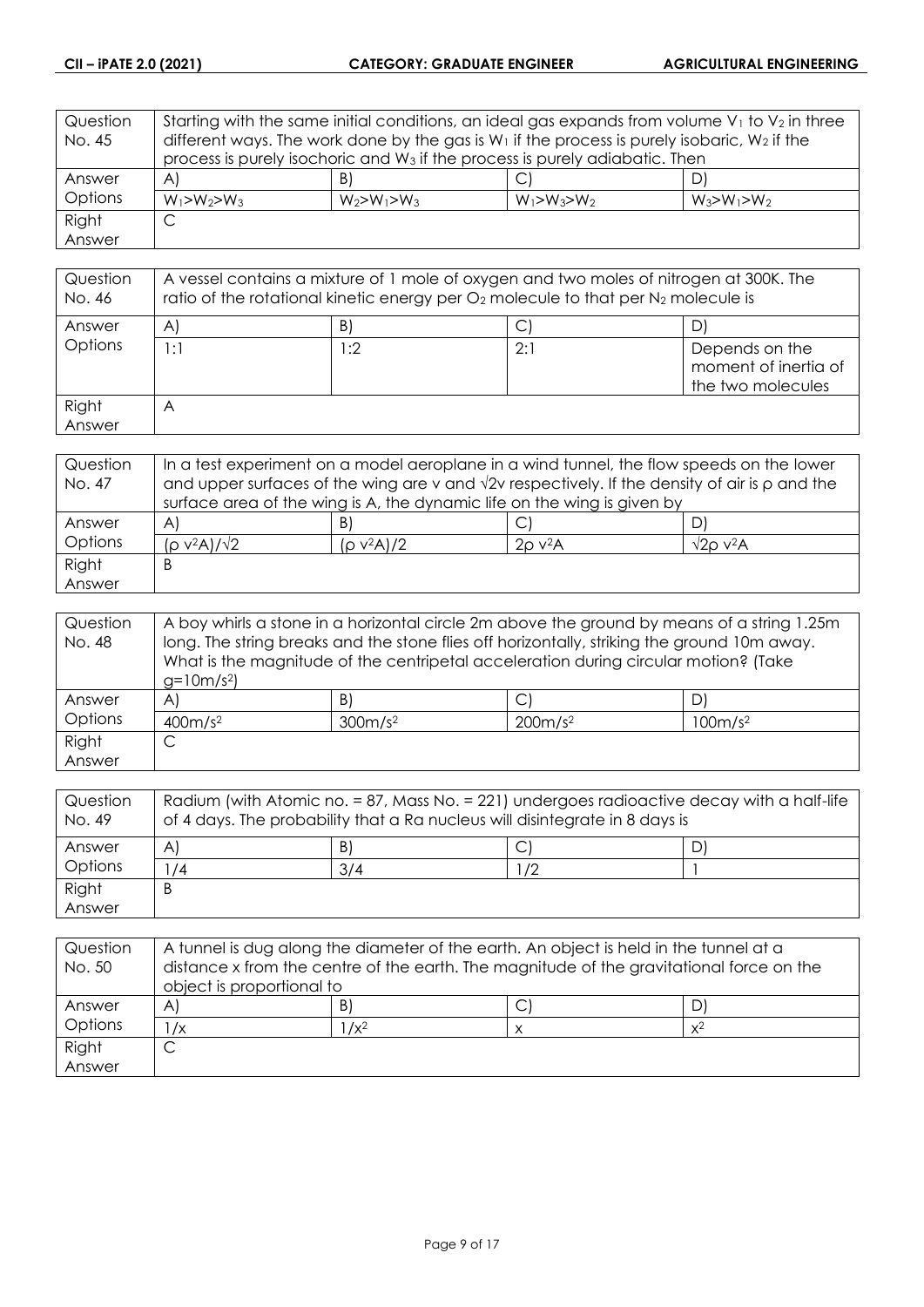| Question | Starting with the same initial conditions, an ideal gas expands from volume $V_1$ to $V_2$ in three |                   |                   |                   |
|----------|-----------------------------------------------------------------------------------------------------|-------------------|-------------------|-------------------|
| No. 45   | different ways. The work done by the gas is $W_1$ if the process is purely isobaric, $W_2$ if the   |                   |                   |                   |
|          | process is purely isochoric and W <sub>3</sub> if the process is purely adiabatic. Then             |                   |                   |                   |
| Answer   | $\mathsf{A}$                                                                                        | B)                |                   | D'                |
| Options  | $W_1 > W_2 > W_3$                                                                                   | $W_2 > W_1 > W_3$ | $W_1 > W_3 > W_2$ | $W_3 > W_1 > W_2$ |
| Right    | С                                                                                                   |                   |                   |                   |
| Answer   |                                                                                                     |                   |                   |                   |

| Question<br>No. 46 | A vessel contains a mixture of 1 mole of oxygen and two moles of nitrogen at 300K. The<br>ratio of the rotational kinetic energy per $O_2$ molecule to that per $N_2$ molecule is |      |     |                                                             |
|--------------------|-----------------------------------------------------------------------------------------------------------------------------------------------------------------------------------|------|-----|-------------------------------------------------------------|
| Answer             | A                                                                                                                                                                                 | B)   |     |                                                             |
| Options            | 1:1                                                                                                                                                                               | l :2 | 2:1 | Depends on the<br>moment of inertia of<br>the two molecules |
| Right<br>Answer    | $\forall$                                                                                                                                                                         |      |     |                                                             |

| Question | In a test experiment on a model aeroplane in a wind tunnel, the flow speeds on the lower                   |               |                          |                               |
|----------|------------------------------------------------------------------------------------------------------------|---------------|--------------------------|-------------------------------|
| No. 47   | and upper surfaces of the wing are v and $\sqrt{2}v$ respectively. If the density of air is $\rho$ and the |               |                          |                               |
|          | surface area of the wing is A, the dynamic life on the wing is given by                                    |               |                          |                               |
| Answer   | A                                                                                                          | B)            | C                        | D.                            |
| Options  | $(p v^2 A)/\sqrt{2}$                                                                                       | $(p v^2 A)/2$ | $2\rho$ v <sup>2</sup> A | $\sqrt{2}$ O v <sup>2</sup> A |
| Right    | Β                                                                                                          |               |                          |                               |
| Answer   |                                                                                                            |               |                          |                               |

| Question | A boy whirls a stone in a horizontal circle 2m above the ground by means of a string 1.25m  |                     |                                                                                     |                     |
|----------|---------------------------------------------------------------------------------------------|---------------------|-------------------------------------------------------------------------------------|---------------------|
| No. 48   | long. The string breaks and the stone flies off horizontally, striking the ground 10m away. |                     |                                                                                     |                     |
|          |                                                                                             |                     | What is the magnitude of the centripetal acceleration during circular motion? (Take |                     |
|          | $g=10m/s^2$                                                                                 |                     |                                                                                     |                     |
| Answer   | $\mathsf{A}$                                                                                | B)                  |                                                                                     | D                   |
| Options  | 400m/s <sup>2</sup>                                                                         | 300m/s <sup>2</sup> | 200m/s <sup>2</sup>                                                                 | 100m/s <sup>2</sup> |
| Right    | ◡                                                                                           |                     |                                                                                     |                     |
| Answer   |                                                                                             |                     |                                                                                     |                     |

| Question<br>No. 49 | Radium (with Atomic no. = 87, Mass No. = 221) undergoes radioactive decay with a half-life<br>of 4 days. The probability that a Ra nucleus will disintegrate in 8 days is |     |    |  |
|--------------------|---------------------------------------------------------------------------------------------------------------------------------------------------------------------------|-----|----|--|
| Answer             | A                                                                                                                                                                         | B)  |    |  |
| Options            | /4                                                                                                                                                                        | 3/4 | /2 |  |
| Right              | B                                                                                                                                                                         |     |    |  |
| Answer             |                                                                                                                                                                           |     |    |  |

| Question<br>No. 50 | A tunnel is dug along the diameter of the earth. An object is held in the tunnel at a<br>distance x from the centre of the earth. The magnitude of the gravitational force on the<br>object is proportional to |         |  |       |
|--------------------|----------------------------------------------------------------------------------------------------------------------------------------------------------------------------------------------------------------|---------|--|-------|
| Answer             | A                                                                                                                                                                                                              | B       |  |       |
| Options            | $\sqrt{x}$                                                                                                                                                                                                     | $1/x^2$ |  | $x^2$ |
| Right              |                                                                                                                                                                                                                |         |  |       |
| Answer             |                                                                                                                                                                                                                |         |  |       |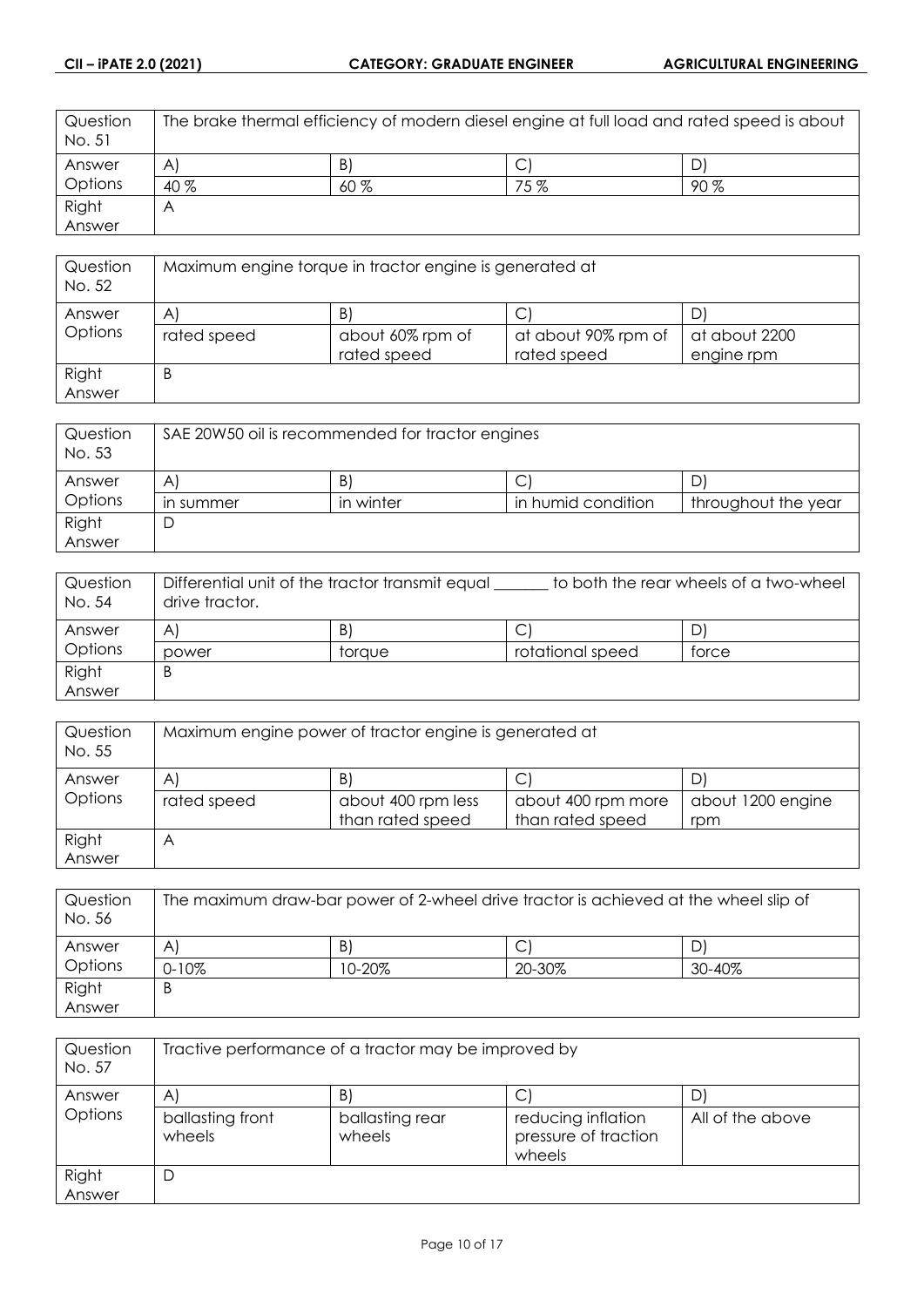| Question<br>No. 51 | The brake thermal efficiency of modern diesel engine at full load and rated speed is about |     |     |      |
|--------------------|--------------------------------------------------------------------------------------------|-----|-----|------|
| Answer             | $\mathsf{A}$                                                                               | B   | ◡   |      |
| Options            | $40\%$                                                                                     | 60% | 75% | 90 % |
| Right              | A                                                                                          |     |     |      |
| Answer             |                                                                                            |     |     |      |

| Question<br>No. 52 | Maximum engine torque in tractor engine is generated at |                                 |                                    |                             |
|--------------------|---------------------------------------------------------|---------------------------------|------------------------------------|-----------------------------|
| Answer             | $\mathsf{A}$                                            | B.                              |                                    |                             |
| Options            | rated speed                                             | about 60% rpm of<br>rated speed | at about 90% rpm of<br>rated speed | at about 2200<br>engine rpm |
| Right<br>Answer    | B                                                       |                                 |                                    |                             |

| Question<br>No. 53 | SAE 20W50 oil is recommended for tractor engines |           |                    |                     |
|--------------------|--------------------------------------------------|-----------|--------------------|---------------------|
| Answer             | A                                                | B.        |                    |                     |
| Options            | in summer                                        | in winter | in humid condition | throughout the year |
| Right              |                                                  |           |                    |                     |
| Answer             |                                                  |           |                    |                     |

| Question<br>No. 54 | Differential unit of the tractor transmit equal<br>to both the rear wheels of a two-wheel<br>drive tractor. |        |                  |       |
|--------------------|-------------------------------------------------------------------------------------------------------------|--------|------------------|-------|
| Answer             | A                                                                                                           | B      |                  | D'    |
| Options            | power                                                                                                       | toraue | rotational speed | torce |
| Right              | B                                                                                                           |        |                  |       |
| Answer             |                                                                                                             |        |                  |       |

| Question<br>No. 55 | Maximum engine power of tractor engine is generated at |                    |                    |                   |
|--------------------|--------------------------------------------------------|--------------------|--------------------|-------------------|
| Answer             | $\mathsf{A}$                                           | B.                 |                    |                   |
| Options            | rated speed                                            | about 400 rpm less | about 400 rpm more | about 1200 engine |
|                    |                                                        | than rated speed   | than rated speed   | rpm               |
| Right              | A                                                      |                    |                    |                   |
| Answer             |                                                        |                    |                    |                   |

| Question<br>No. 56 | The maximum draw-bar power of 2-wheel drive tractor is achieved at the wheel slip of |            |        |        |
|--------------------|--------------------------------------------------------------------------------------|------------|--------|--------|
| Answer             | A                                                                                    | B)         | ◡      | D      |
| Options            | $0 - 10\%$                                                                           | $10 - 20%$ | 20-30% | 30-40% |
| Right              | B                                                                                    |            |        |        |
| Answer             |                                                                                      |            |        |        |

| Question<br>No. 57 | Tractive performance of a tractor may be improved by |                           |                                                      |                  |
|--------------------|------------------------------------------------------|---------------------------|------------------------------------------------------|------------------|
| Answer             | A                                                    | B'                        |                                                      |                  |
| Options            | ballasting front<br>wheels                           | ballasting rear<br>wheels | reducing inflation<br>pressure of traction<br>wheels | All of the above |
| Right<br>Answer    | D                                                    |                           |                                                      |                  |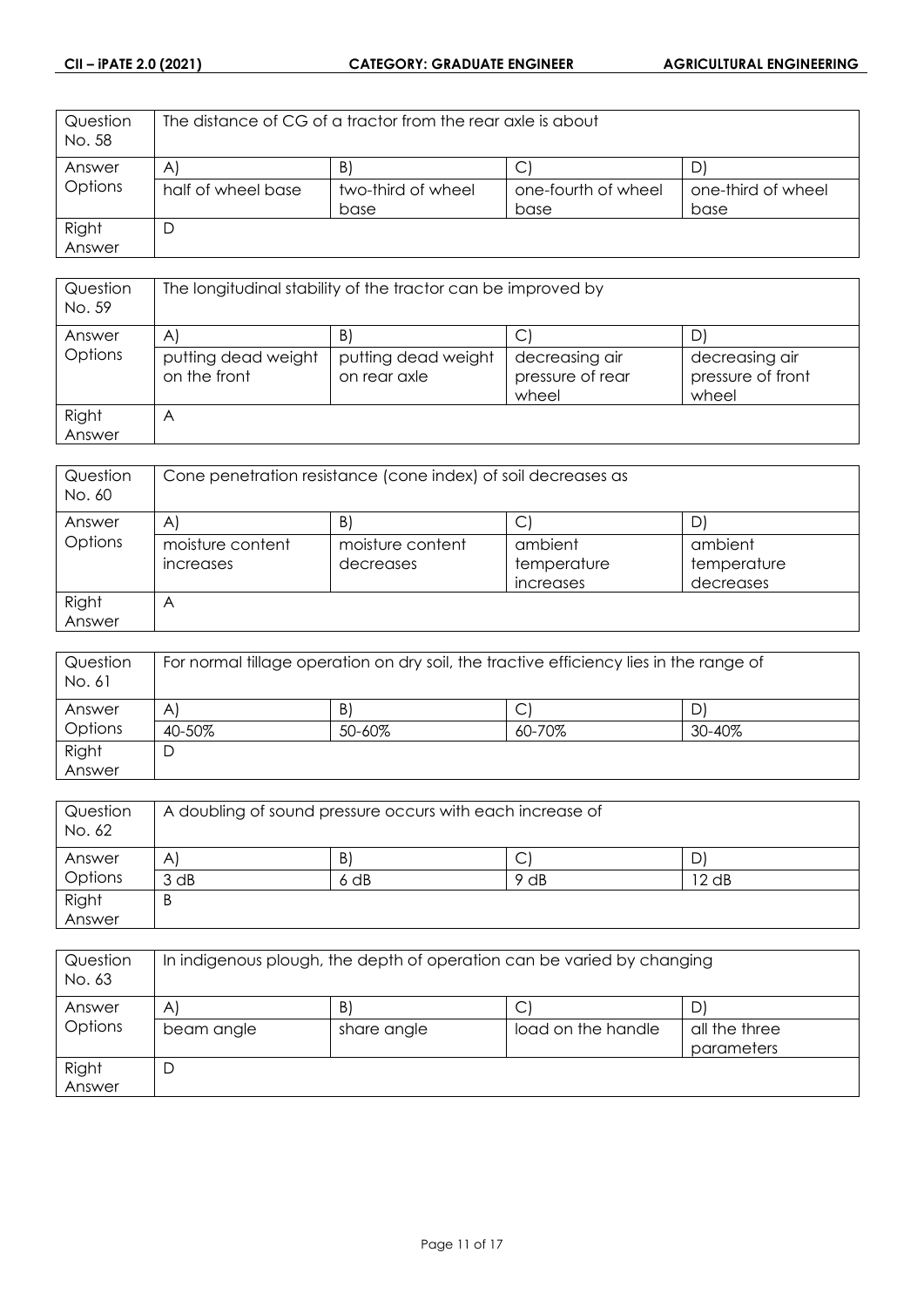| Question<br>No. 58 | The distance of CG of a tractor from the rear axle is about |                    |                     |                    |
|--------------------|-------------------------------------------------------------|--------------------|---------------------|--------------------|
| Answer             | $\mathsf{A}$                                                | B.                 |                     |                    |
| Options            | half of wheel base                                          | two-third of wheel | one-fourth of wheel | one-third of wheel |
|                    |                                                             | base               | base                | base               |
| Right              |                                                             |                    |                     |                    |
| Answer             |                                                             |                    |                     |                    |

| Question<br>No. 59 | The longitudinal stability of the tractor can be improved by |                                     |                                             |                                              |
|--------------------|--------------------------------------------------------------|-------------------------------------|---------------------------------------------|----------------------------------------------|
| Answer             | A                                                            | B                                   |                                             |                                              |
| Options            | putting dead weight<br>on the front                          | putting dead weight<br>on rear axle | decreasing air<br>pressure of rear<br>wheel | decreasing air<br>pressure of front<br>wheel |
| Right              | $\forall$                                                    |                                     |                                             |                                              |
| Answer             |                                                              |                                     |                                             |                                              |

| Question<br>No. 60 | Cone penetration resistance (cone index) of soil decreases as |                  |             |             |
|--------------------|---------------------------------------------------------------|------------------|-------------|-------------|
| Answer             | A                                                             | B)               |             |             |
| Options            | moisture content                                              | moisture content | ambient     | ambient     |
|                    | increases                                                     | decreases        | temperature | temperature |
|                    |                                                               |                  | increases   | decreases   |
| Right              | $\forall$                                                     |                  |             |             |
| Answer             |                                                               |                  |             |             |

| Question<br>No. 61 | For normal tillage operation on dry soil, the tractive efficiency lies in the range of |        |        |        |
|--------------------|----------------------------------------------------------------------------------------|--------|--------|--------|
| Answer             | A                                                                                      | B)     |        |        |
| Options            | 40-50%                                                                                 | 50-60% | 60-70% | 30-40% |
| Right              |                                                                                        |        |        |        |
| Answer             |                                                                                        |        |        |        |

| Question<br>No. 62 | A doubling of sound pressure occurs with each increase of |      |      |       |
|--------------------|-----------------------------------------------------------|------|------|-------|
| Answer             | A                                                         | B.   | ◡    |       |
| Options            | 3 dB                                                      | 6 dB | 9 dB | 12 dB |
| Right<br>Answer    | B                                                         |      |      |       |
|                    |                                                           |      |      |       |

| Question<br>No. 63 | In indigenous plough, the depth of operation can be varied by changing |             |                    |                             |
|--------------------|------------------------------------------------------------------------|-------------|--------------------|-----------------------------|
| Answer             | Α                                                                      | B)          | C                  |                             |
| Options            | beam angle                                                             | share angle | load on the handle | all the three<br>parameters |
| Right<br>Answer    | Ľ                                                                      |             |                    |                             |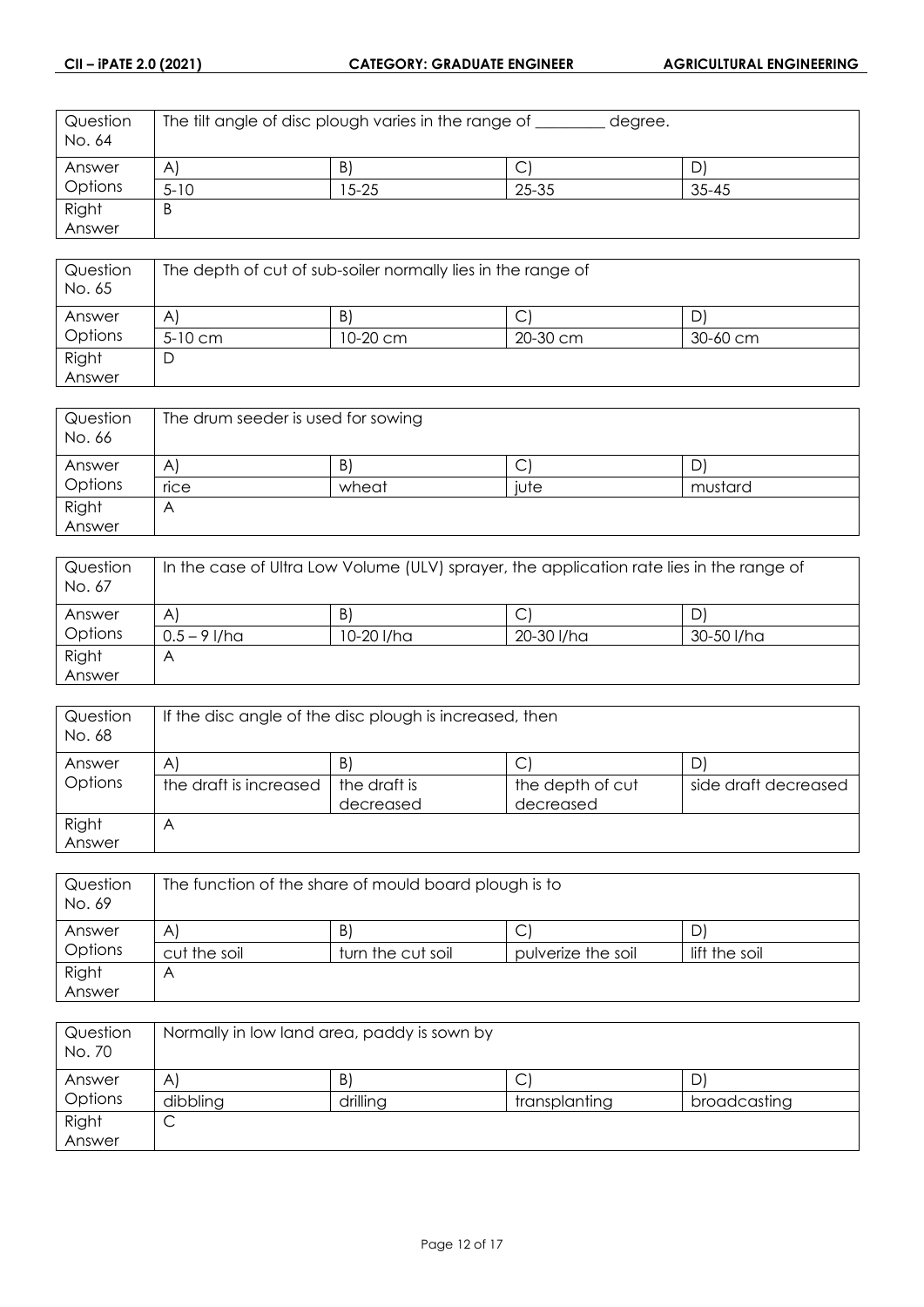| Question<br>No. 64 | The filt angle of disc plough varies in the range of<br>degree. |       |       |           |
|--------------------|-----------------------------------------------------------------|-------|-------|-----------|
| Answer             | $\mathsf{A}$                                                    | Β     | J     |           |
| Options            | $5 - 10$                                                        | 15-25 | 25-35 | $35 - 45$ |
| Right              | B                                                               |       |       |           |
| Answer             |                                                                 |       |       |           |

| Question<br>No. 65 | The depth of cut of sub-soiler normally lies in the range of |          |          |              |
|--------------------|--------------------------------------------------------------|----------|----------|--------------|
| Answer             | A                                                            | B)       |          |              |
| Options            | $5-10$ cm                                                    | 10-20 cm | 20-30 cm | $30 - 60$ cm |
| Right              | D                                                            |          |          |              |
| Answer             |                                                              |          |          |              |

| Question<br>No. 66 | The drum seeder is used for sowing |       |      |         |
|--------------------|------------------------------------|-------|------|---------|
| Answer             | Α                                  | B)    | ◡    | D'      |
| Options            | rice                               | wheat | j∪te | mustard |
| Right              | ٣                                  |       |      |         |
| Answer             |                                    |       |      |         |

| Question<br>No. 67 | In the case of Ultra Low Volume (ULV) sprayer, the application rate lies in the range of |            |            |            |
|--------------------|------------------------------------------------------------------------------------------|------------|------------|------------|
| Answer             | A                                                                                        | B          | С          |            |
| Options            | $0.5 - 9$ I/ha                                                                           | 10-20 l/ha | 20-30 I/ha | 30-50 I/ha |
| Right              | Α                                                                                        |            |            |            |
| Answer             |                                                                                          |            |            |            |

| Question<br>No. 68 | If the disc angle of the disc plough is increased, then |                           |                               |                      |
|--------------------|---------------------------------------------------------|---------------------------|-------------------------------|----------------------|
| Answer             | A                                                       | B.                        |                               |                      |
| Options            | the draft is increased                                  | the draft is<br>decreased | the depth of cut<br>decreased | side draft decreased |
| Right<br>Answer    |                                                         |                           |                               |                      |

| Question<br>No. 69 |              | The function of the share of mould board plough is to |                    |               |
|--------------------|--------------|-------------------------------------------------------|--------------------|---------------|
| Answer             | A            | B                                                     |                    | D             |
| Options            | cut the soil | turn the cut soil                                     | pulverize the soil | lift the soil |
| Right              | Α            |                                                       |                    |               |
| Answer             |              |                                                       |                    |               |

| Question<br>No. 70 | Normally in low land area, paddy is sown by |          |               |              |
|--------------------|---------------------------------------------|----------|---------------|--------------|
| Answer             | A                                           | B        | ◡             | D)           |
| Options            | dibbling                                    | drilling | transplanting | broadcasting |
| Right              | ◡                                           |          |               |              |
| Answer             |                                             |          |               |              |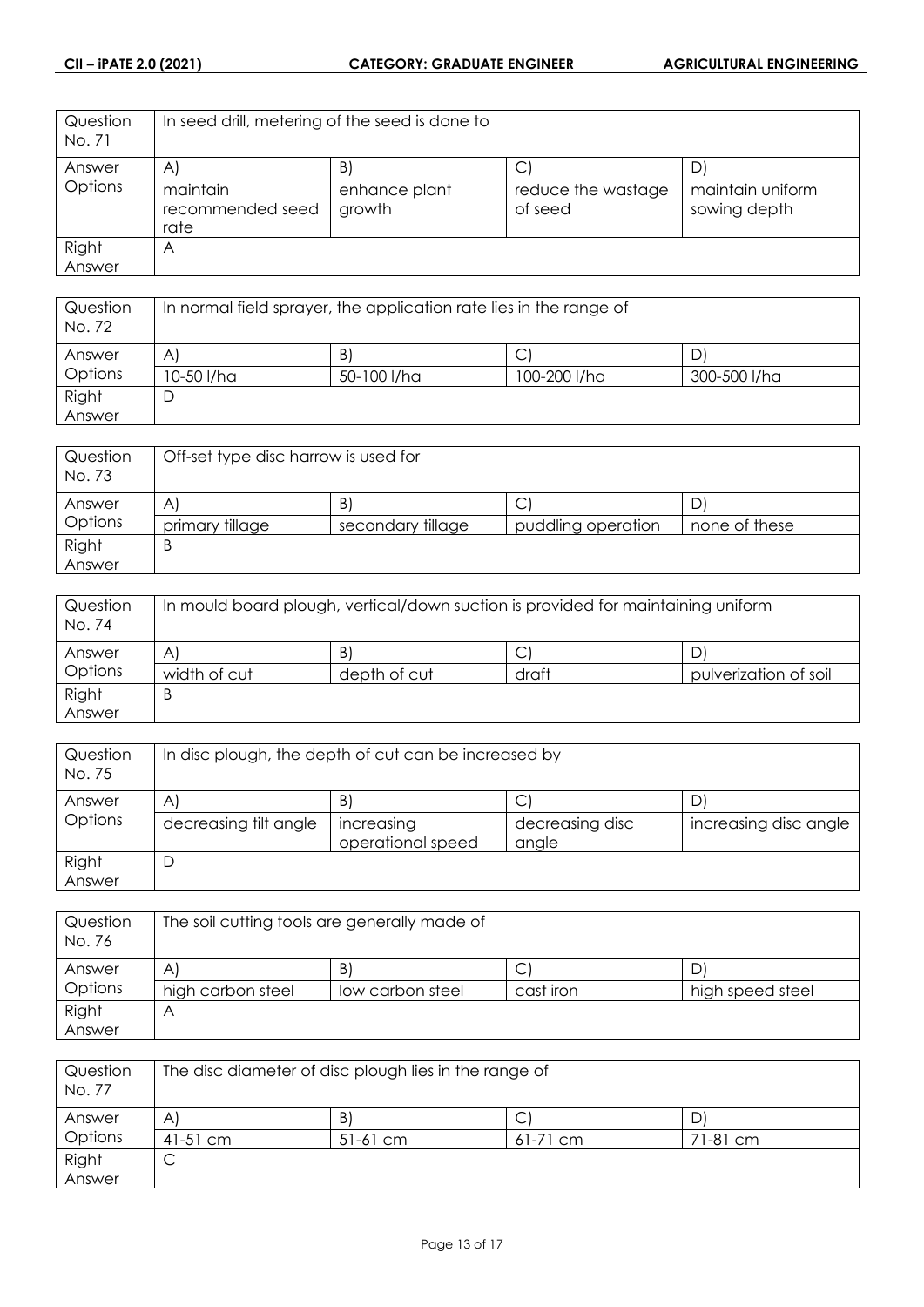| Question<br>No. 71 | In seed drill, metering of the seed is done to |                         |                               |                                  |
|--------------------|------------------------------------------------|-------------------------|-------------------------------|----------------------------------|
| Answer             | $\mathsf{A}$                                   | B                       | C                             | D                                |
| Options            | maintain<br>recommended seed<br>rate           | enhance plant<br>growth | reduce the wastage<br>of seed | maintain uniform<br>sowing depth |
| Right              | A                                              |                         |                               |                                  |
| Answer             |                                                |                         |                               |                                  |

| Question<br>No. 72 | In normal field sprayer, the application rate lies in the range of |             |              |              |
|--------------------|--------------------------------------------------------------------|-------------|--------------|--------------|
| Answer             | A                                                                  | B.          | ◡            |              |
| Options            | 10-50 I/ha                                                         | 50-100 l/ha | 100-200 l/ha | 300-500 l/ha |
| Right              | ┕                                                                  |             |              |              |
| Answer             |                                                                    |             |              |              |

| Question<br>No. 73 | Off-set type disc harrow is used for |                   |                    |               |
|--------------------|--------------------------------------|-------------------|--------------------|---------------|
| Answer             | A                                    | B                 | С                  |               |
| Options            | primary tillage                      | secondary tillage | puddling operation | none of these |
| Right              | Β                                    |                   |                    |               |
| Answer             |                                      |                   |                    |               |

| Question<br>No. 74 | In mould board plough, vertical/down suction is provided for maintaining uniform |              |       |                       |
|--------------------|----------------------------------------------------------------------------------|--------------|-------|-----------------------|
| Answer             | A'                                                                               | B)           | ◡     |                       |
| Options            | width of cut                                                                     | depth of cut | draft | pulverization of soil |
| Right              | Β                                                                                |              |       |                       |
| Answer             |                                                                                  |              |       |                       |

| Question<br>No. 75 | In disc plough, the depth of cut can be increased by |                                 |                          |                       |  |
|--------------------|------------------------------------------------------|---------------------------------|--------------------------|-----------------------|--|
| Answer             | $\mathsf{A}$                                         | B                               | ◡                        |                       |  |
| Options            | decreasing tilt angle                                | increasing<br>operational speed | decreasing disc<br>angle | increasing disc angle |  |
| Right<br>Answer    | D                                                    |                                 |                          |                       |  |

| Question<br>No. 76 | The soil cutting tools are generally made of |                  |           |                  |
|--------------------|----------------------------------------------|------------------|-----------|------------------|
| Answer             | A                                            | B.               | С         |                  |
| <b>Options</b>     | high carbon steel                            | low carbon steel | cast iron | high speed steel |
| Right              | Α                                            |                  |           |                  |
| Answer             |                                              |                  |           |                  |

| Question<br>No. 77 | The disc diameter of disc plough lies in the range of |            |            |          |
|--------------------|-------------------------------------------------------|------------|------------|----------|
| Answer             | Α                                                     | B)         | ◡          |          |
| Options            | $41-51$ cm                                            | $51-61$ cm | $61-71$ cm | 71-81 cm |
| Right              | ◡                                                     |            |            |          |
| Answer             |                                                       |            |            |          |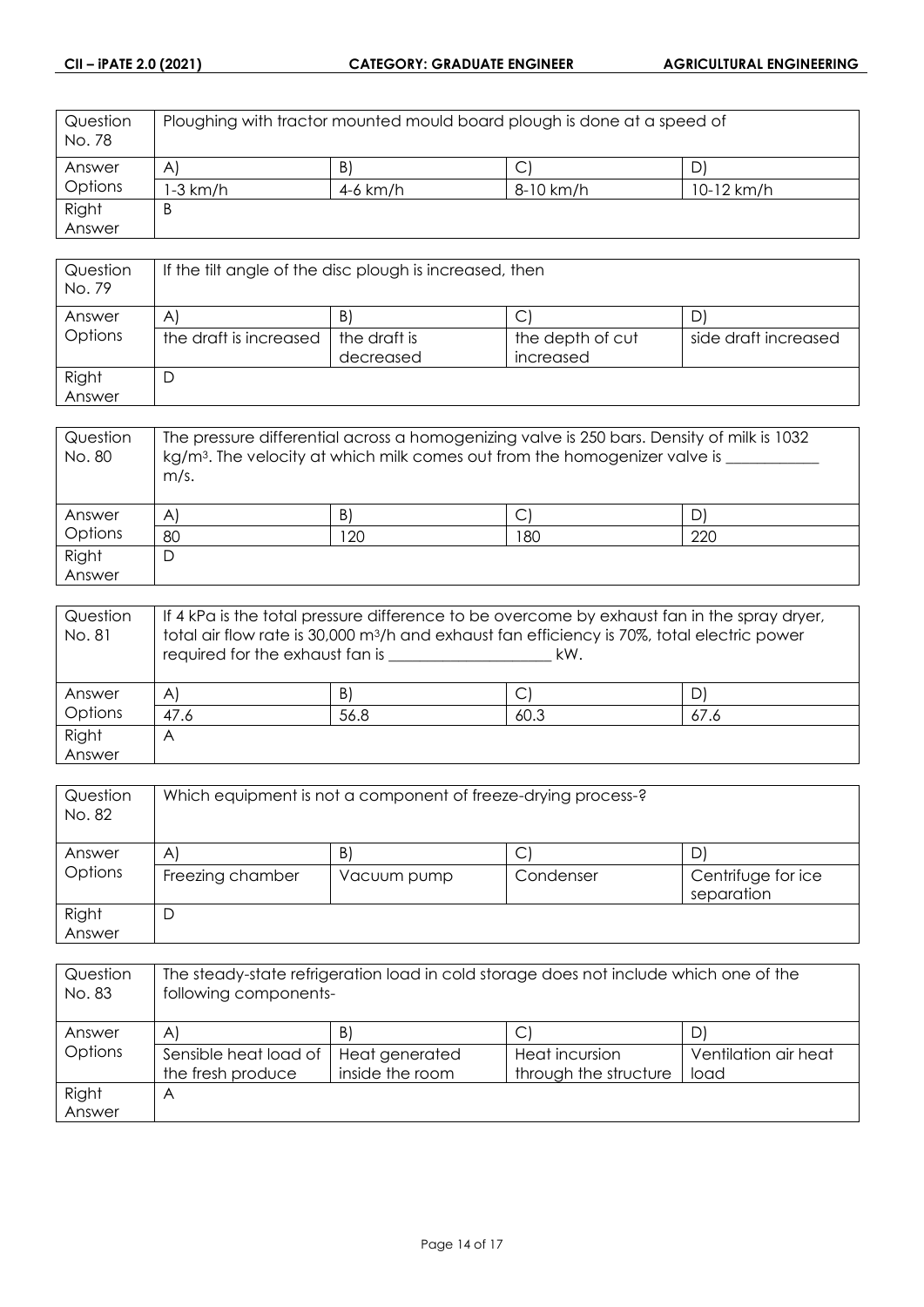| Question<br>No. 78 | Ploughing with tractor mounted mould board plough is done at a speed of |          |           |            |
|--------------------|-------------------------------------------------------------------------|----------|-----------|------------|
| Answer             | $\mathsf{A}$                                                            | B        |           |            |
| Options            | I-3 km/h                                                                | 4-6 km/h | 8-10 km/h | 10-12 km/h |
| Right              | B                                                                       |          |           |            |
| Answer             |                                                                         |          |           |            |

| Question<br>No. 79 | If the filt angle of the disc plough is increased, then |              |                  |                      |
|--------------------|---------------------------------------------------------|--------------|------------------|----------------------|
| Answer             | B<br>A                                                  |              |                  |                      |
| Options            | the draft is increased                                  | the draft is | the depth of cut | side draft increased |
|                    |                                                         | decreased    | increased        |                      |
| Right              | D                                                       |              |                  |                      |
| Answer             |                                                         |              |                  |                      |

| Question<br>No. 80 | The pressure differential across a homogenizing valve is 250 bars. Density of milk is 1032<br>$kg/m3$ . The velocity at which milk comes out from the homogenizer valve is<br>m/s. |    |     |     |
|--------------------|------------------------------------------------------------------------------------------------------------------------------------------------------------------------------------|----|-----|-----|
| Answer             | $\mathsf{A}$                                                                                                                                                                       | B  |     |     |
| Options            | 80                                                                                                                                                                                 | 20 | 180 | 220 |
| Right              | D                                                                                                                                                                                  |    |     |     |
| Answer             |                                                                                                                                                                                    |    |     |     |

| Question | If 4 kPa is the total pressure difference to be overcome by exhaust fan in the spray dryer,             |      |      |      |
|----------|---------------------------------------------------------------------------------------------------------|------|------|------|
| No. 81   | total air flow rate is 30,000 m <sup>3</sup> /h and exhaust fan efficiency is 70%, total electric power |      |      |      |
|          | required for the exhaust fan is<br>kW.                                                                  |      |      |      |
|          |                                                                                                         |      |      |      |
| Answer   | $\mathsf{A}^{\mathsf{r}}$                                                                               | B)   | С    |      |
| Options  | 47.6                                                                                                    | 56.8 | 60.3 | 67.6 |
| Right    | A                                                                                                       |      |      |      |
| Answer   |                                                                                                         |      |      |      |

| Question<br>No. 82 | Which equipment is not a component of freeze-drying process-? |                   |                |                          |  |
|--------------------|---------------------------------------------------------------|-------------------|----------------|--------------------------|--|
| Answer<br>Options  | A<br>Freezing chamber                                         | B)<br>Vacuum pump | С<br>Condenser | 'ل<br>Centrifuge for ice |  |
| Right<br>Answer    | D                                                             |                   |                | separation               |  |

| Question<br>No. 83 | The steady-state refrigeration load in cold storage does not include which one of the<br>following components- |                 |                       |                      |
|--------------------|----------------------------------------------------------------------------------------------------------------|-----------------|-----------------------|----------------------|
| Answer             | $\mathsf{A}$                                                                                                   | B)              |                       |                      |
| Options            | Sensible heat load of                                                                                          | Heat generated  | <b>Heat incursion</b> | Ventilation air heat |
|                    | the fresh produce                                                                                              | inside the room | through the structure | load                 |
| Right              | Α                                                                                                              |                 |                       |                      |
| Answer             |                                                                                                                |                 |                       |                      |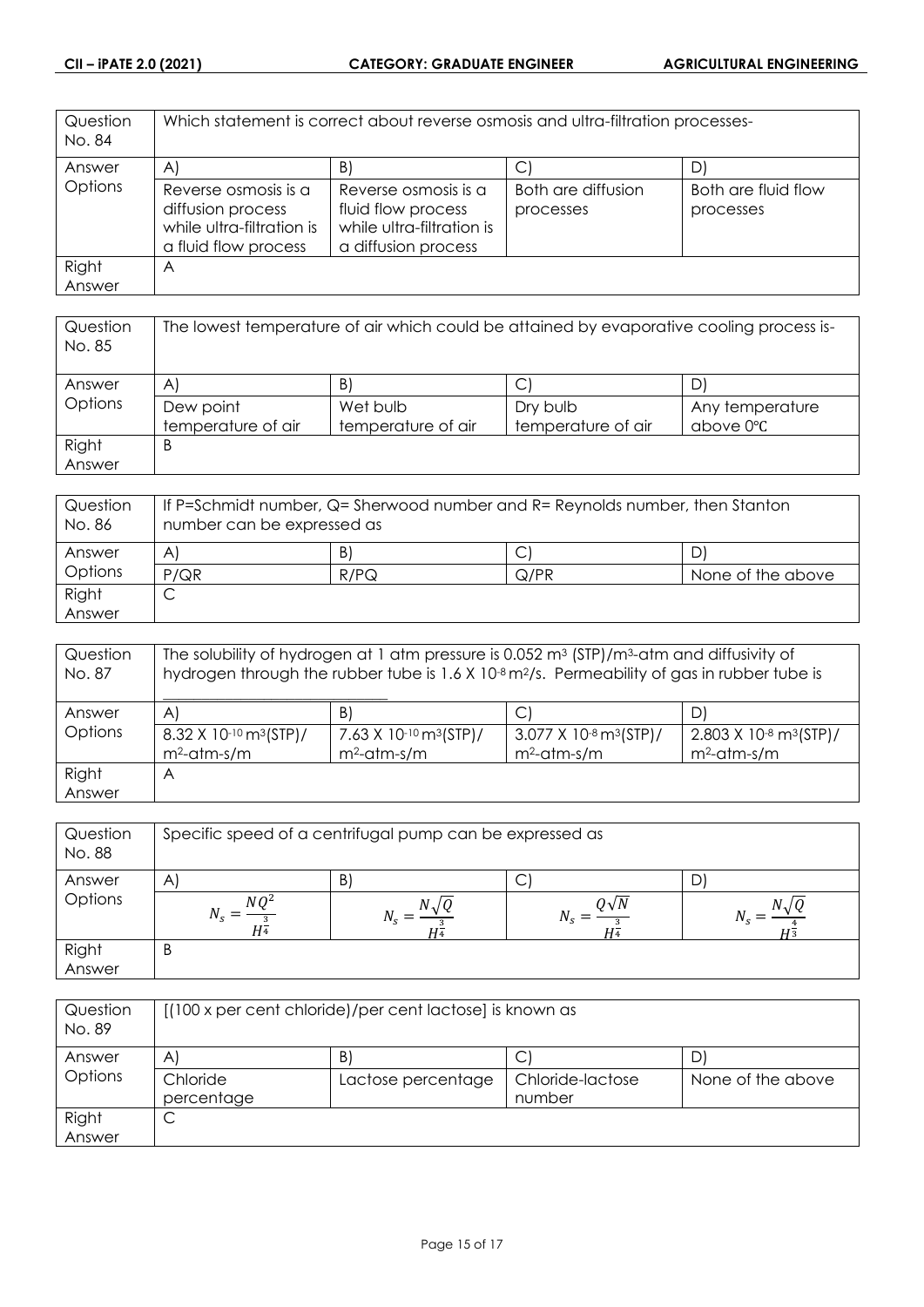| Question<br>No. 84 | Which statement is correct about reverse osmosis and ultra-filtration processes-               |                                                                                                |                                 |                                  |
|--------------------|------------------------------------------------------------------------------------------------|------------------------------------------------------------------------------------------------|---------------------------------|----------------------------------|
| Answer             | $\mathsf{A}$                                                                                   | B                                                                                              | С                               |                                  |
| Options            | Reverse osmosis is a<br>diffusion process<br>while ultra-filtration is<br>a fluid flow process | Reverse osmosis is a<br>fluid flow process<br>while ultra-filtration is<br>a diffusion process | Both are diffusion<br>processes | Both are fluid flow<br>processes |
| Right              | A                                                                                              |                                                                                                |                                 |                                  |
| Answer             |                                                                                                |                                                                                                |                                 |                                  |

| Question<br>No. 85 | The lowest temperature of air which could be attained by evaporative cooling process is- |                    |                    |                 |
|--------------------|------------------------------------------------------------------------------------------|--------------------|--------------------|-----------------|
| Answer             | A                                                                                        | B.                 | С                  |                 |
| Options            | Dew point                                                                                | Wet bulb           | Dry bulb           | Any temperature |
|                    | temperature of air                                                                       | temperature of air | temperature of air | above 0°C       |
| Right              | B                                                                                        |                    |                    |                 |
| Answer             |                                                                                          |                    |                    |                 |

| Question<br>No. 86 | If P=Schmidt number, Q= Sherwood number and R= Reynolds number, then Stanton<br>number can be expressed as |      |      |                   |
|--------------------|------------------------------------------------------------------------------------------------------------|------|------|-------------------|
| Answer             | A                                                                                                          | B)   |      |                   |
| Options            | P/QR                                                                                                       | R/PQ | Q/PR | None of the above |
| Right              | ◡                                                                                                          |      |      |                   |
| Answer             |                                                                                                            |      |      |                   |

| Question<br>No. 87 | The solubility of hydrogen at 1 atm pressure is 0.052 $m3$ (STP)/m <sup>3</sup> -atm and diffusivity of<br>hydrogen through the rubber tube is 1.6 X 10 <sup>-8</sup> m <sup>2</sup> /s. Permeability of gas in rubber tube is |                                         |                                                  |                                                  |
|--------------------|--------------------------------------------------------------------------------------------------------------------------------------------------------------------------------------------------------------------------------|-----------------------------------------|--------------------------------------------------|--------------------------------------------------|
| Answer             | $\mathsf{A}$                                                                                                                                                                                                                   | B.                                      | $\mathsf{C}^{\prime}$                            | D)                                               |
| Options            | 8.32 X 10 <sup>-10</sup> m <sup>3</sup> (STP)/                                                                                                                                                                                 | 7.63 X 10-10 $\text{m}^3(\text{STP})$ / | $3.077$ X 10 <sup>-8</sup> m <sup>3</sup> (STP)/ | $2.803$ X 10 <sup>-8</sup> m <sup>3</sup> (STP)/ |
|                    | $m^2$ -atm-s/m                                                                                                                                                                                                                 | $m^2$ -atm-s/m                          | $m^2$ -atm-s/m                                   | $m^2$ -atm-s/m                                   |
| Right              | A                                                                                                                                                                                                                              |                                         |                                                  |                                                  |
| Answer             |                                                                                                                                                                                                                                |                                         |                                                  |                                                  |

| Question<br>No. 88 | Specific speed of a centrifugal pump can be expressed as |   |              |  |
|--------------------|----------------------------------------------------------|---|--------------|--|
| Answer             | $\mathsf{A}$                                             | B | C            |  |
| Options            | NΩ <sup>2</sup><br>H4                                    |   | ) $\sqrt{N}$ |  |
| Right              | B                                                        |   |              |  |
| Answer             |                                                          |   |              |  |

| Question<br>No. 89 | [(100 x per cent chloride)/per cent lactose] is known as |                    |                  |                   |
|--------------------|----------------------------------------------------------|--------------------|------------------|-------------------|
| Answer             | $\mathsf{A}^{\cdot}$                                     | B                  | C                |                   |
| Options            | Chloride                                                 | Lactose percentage | Chloride-lactose | None of the above |
|                    | percentage                                               |                    | number           |                   |
| Right              | ◡                                                        |                    |                  |                   |
| Answer             |                                                          |                    |                  |                   |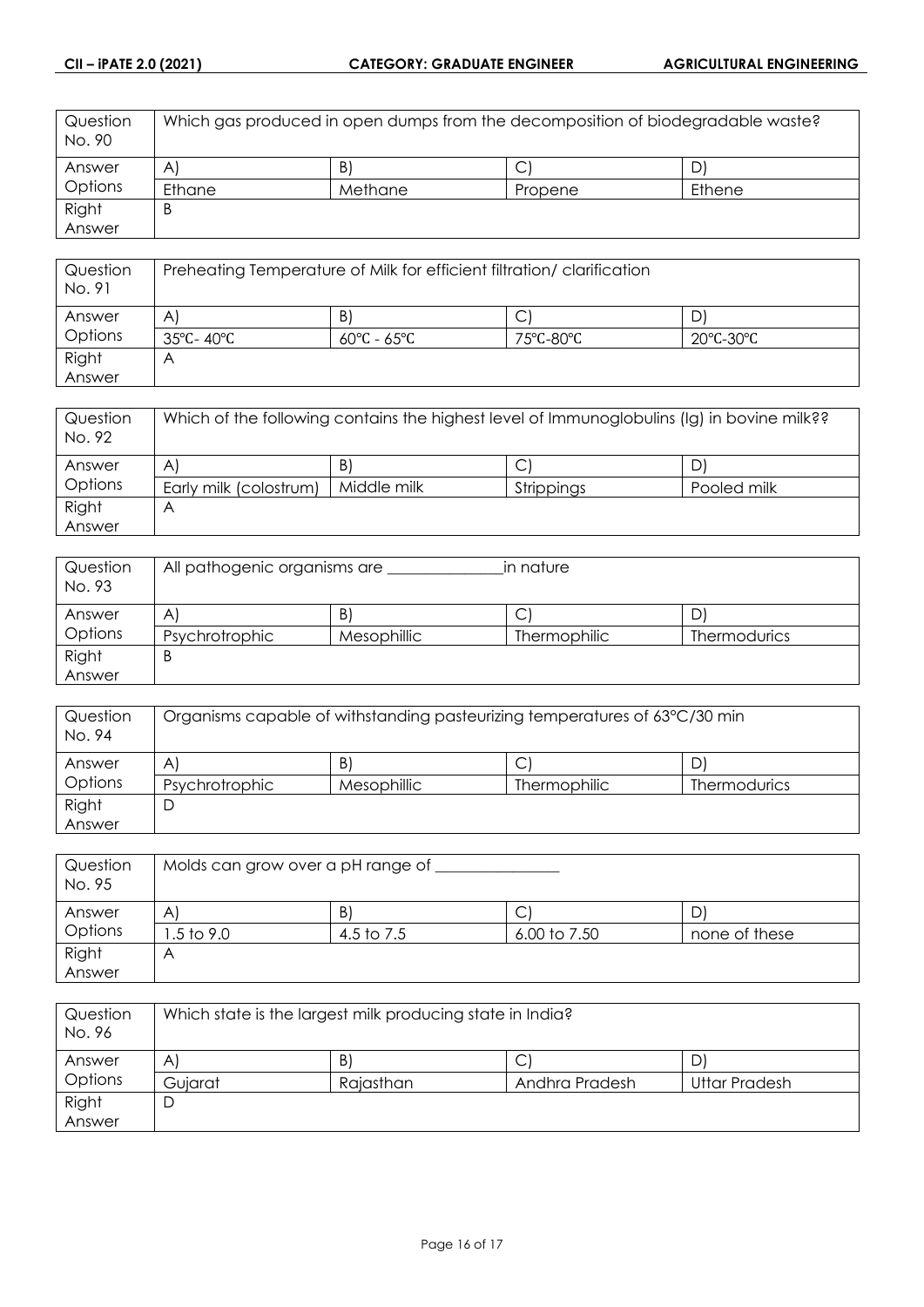| Question<br>No. 90 | Which gas produced in open dumps from the decomposition of biodegradable waste? |         |         |        |
|--------------------|---------------------------------------------------------------------------------|---------|---------|--------|
| Answer             | A                                                                               | B       | ◡       |        |
| <b>Options</b>     | Ethane                                                                          | Methane | Propene | Ethene |
| Right              | B                                                                               |         |         |        |
| Answer             |                                                                                 |         |         |        |

| Question<br>No. 91 | Preheating Temperature of Milk for efficient filtration/clarification |                                 |                                |                                |
|--------------------|-----------------------------------------------------------------------|---------------------------------|--------------------------------|--------------------------------|
| Answer             | A                                                                     | B.                              | ◡                              |                                |
| Options            | 35°C- 40°C                                                            | $60^{\circ}$ C - $65^{\circ}$ C | $75^{\circ}$ C-80 $^{\circ}$ C | $20^{\circ}$ C-30 $^{\circ}$ C |
| Right              | A                                                                     |                                 |                                |                                |
| Answer             |                                                                       |                                 |                                |                                |

| Question<br>No. 92 | Which of the following contains the highest level of Immunoglobulins (Ig) in bovine milk?? |             |            |             |
|--------------------|--------------------------------------------------------------------------------------------|-------------|------------|-------------|
| Answer             | A                                                                                          | B           | Ć          | <u>ں</u>    |
| Options            | Early milk (colostrum)                                                                     | Middle milk | Strippings | Pooled milk |
| Right              | Р                                                                                          |             |            |             |
| Answer             |                                                                                            |             |            |             |

| Question<br>No. 93 | All pathogenic organisms are<br>in nature |             |              |                     |
|--------------------|-------------------------------------------|-------------|--------------|---------------------|
| Answer             | Α                                         | B)          | ◡            |                     |
| Options            | Psychrotrophic                            | Mesophillic | Thermophilic | <b>Thermodurics</b> |
| Right              | В                                         |             |              |                     |
| Answer             |                                           |             |              |                     |

| Question<br>No. 94 | Organisms capable of withstanding pasteurizing temperatures of 63°C/30 min |             |                     |                     |
|--------------------|----------------------------------------------------------------------------|-------------|---------------------|---------------------|
| Answer             | A                                                                          | B           |                     | D                   |
| Options            | Psychrotrophic                                                             | Mesophillic | <b>Thermophilic</b> | <b>Thermodurics</b> |
| Right              | ◡                                                                          |             |                     |                     |
| Answer             |                                                                            |             |                     |                     |

| Question<br>No. 95 | Molds can grow over a pH range of |            |              |               |
|--------------------|-----------------------------------|------------|--------------|---------------|
| Answer             | Α                                 | B          | С            |               |
| Options            | .5 to 9.0                         | 4.5 to 7.5 | 6.00 to 7.50 | none of these |
| Right              |                                   |            |              |               |
| Answer             |                                   |            |              |               |

| Question<br>No. 96 | Which state is the largest milk producing state in India? |           |                |               |
|--------------------|-----------------------------------------------------------|-----------|----------------|---------------|
| Answer             | Α                                                         | B.        | ◡              |               |
| Options            | Guiarat                                                   | Rajasthan | Andhra Pradesh | Uttar Pradesh |
| Right              | ┕                                                         |           |                |               |
| Answer             |                                                           |           |                |               |